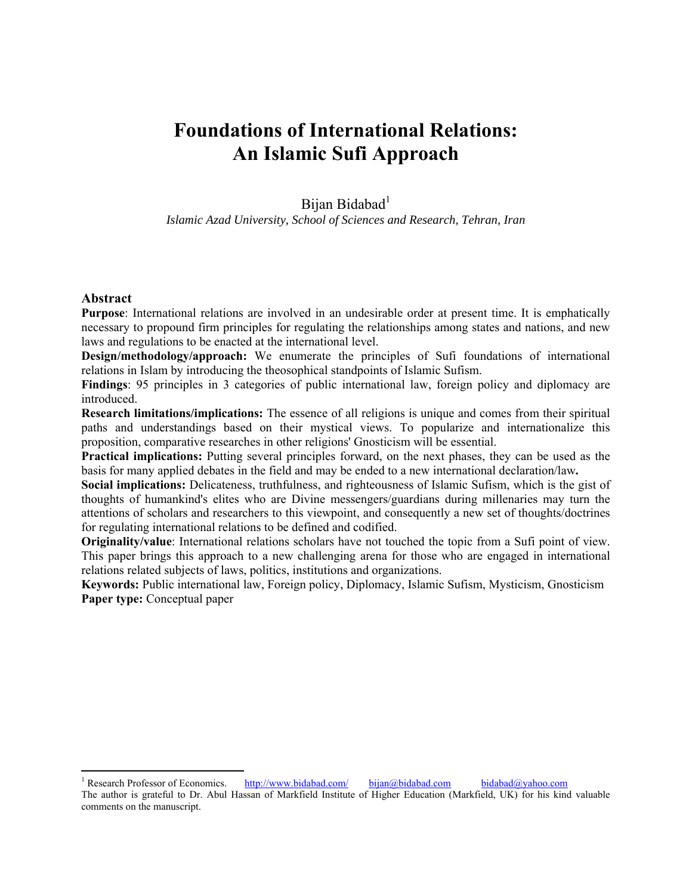# **Foundations of International Relations: An Islamic Sufi Approach**

# Bijan Bidabad<sup>1</sup>

*Islamic Azad University, School of Sciences and Research, Tehran, Iran* 

# **Abstract**

 $\overline{a}$ 

**Purpose**: International relations are involved in an undesirable order at present time. It is emphatically necessary to propound firm principles for regulating the relationships among states and nations, and new laws and regulations to be enacted at the international level.

**Design/methodology/approach:** We enumerate the principles of Sufi foundations of international relations in Islam by introducing the theosophical standpoints of Islamic Sufism.

**Findings**: 95 principles in 3 categories of public international law, foreign policy and diplomacy are introduced.

**Research limitations/implications:** The essence of all religions is unique and comes from their spiritual paths and understandings based on their mystical views. To popularize and internationalize this proposition, comparative researches in other religions' Gnosticism will be essential.

**Practical implications:** Putting several principles forward, on the next phases, they can be used as the basis for many applied debates in the field and may be ended to a new international declaration/law**.** 

**Social implications:** Delicateness, truthfulness, and righteousness of Islamic Sufism, which is the gist of thoughts of humankind's elites who are Divine messengers/guardians during millenaries may turn the attentions of scholars and researchers to this viewpoint, and consequently a new set of thoughts/doctrines for regulating international relations to be defined and codified.

**Originality/value**: International relations scholars have not touched the topic from a Sufi point of view. This paper brings this approach to a new challenging arena for those who are engaged in international relations related subjects of laws, politics, institutions and organizations.

**Keywords:** Public international law, Foreign policy, Diplomacy, Islamic Sufism, Mysticism, Gnosticism **Paper type:** Conceptual paper

<sup>&</sup>lt;sup>1</sup> Research Professor of Economics. http://www.bidabad.com/ bijan@bidabad.com bidabad@yahoo.com The author is grateful to Dr. Abul Hassan of Markfield Institute of Higher Education (Markfield, UK) for his kind valuable comments on the manuscript.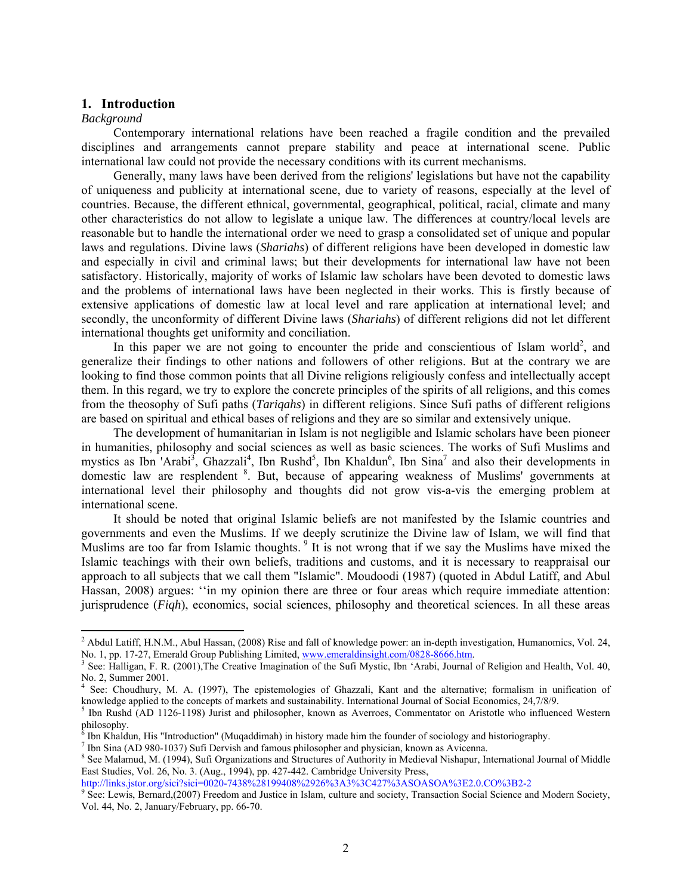#### **1. Introduction**

#### *Background*

Contemporary international relations have been reached a fragile condition and the prevailed disciplines and arrangements cannot prepare stability and peace at international scene. Public international law could not provide the necessary conditions with its current mechanisms.

Generally, many laws have been derived from the religions' legislations but have not the capability of uniqueness and publicity at international scene, due to variety of reasons, especially at the level of countries. Because, the different ethnical, governmental, geographical, political, racial, climate and many other characteristics do not allow to legislate a unique law. The differences at country/local levels are reasonable but to handle the international order we need to grasp a consolidated set of unique and popular laws and regulations. Divine laws (*Shariahs*) of different religions have been developed in domestic law and especially in civil and criminal laws; but their developments for international law have not been satisfactory. Historically, majority of works of Islamic law scholars have been devoted to domestic laws and the problems of international laws have been neglected in their works. This is firstly because of extensive applications of domestic law at local level and rare application at international level; and secondly, the unconformity of different Divine laws (*Shariahs*) of different religions did not let different international thoughts get uniformity and conciliation.

In this paper we are not going to encounter the pride and conscientious of Islam world<sup>2</sup>, and generalize their findings to other nations and followers of other religions. But at the contrary we are looking to find those common points that all Divine religions religiously confess and intellectually accept them. In this regard, we try to explore the concrete principles of the spirits of all religions, and this comes from the theosophy of Sufi paths (*Tariqahs*) in different religions. Since Sufi paths of different religions are based on spiritual and ethical bases of religions and they are so similar and extensively unique.

The development of humanitarian in Islam is not negligible and Islamic scholars have been pioneer in humanities, philosophy and social sciences as well as basic sciences. The works of Sufi Muslims and mystics as Ibn 'Arabi<sup>3</sup>, Ghazzali<sup>4</sup>, Ibn Rushd<sup>5</sup>, Ibn Khaldun<sup>6</sup>, Ibn Sina<sup>7</sup> and also their developments in domestic law are resplendent <sup>8</sup>. But, because of appearing weakness of Muslims' governments at international level their philosophy and thoughts did not grow vis-a-vis the emerging problem at international scene.

It should be noted that original Islamic beliefs are not manifested by the Islamic countries and governments and even the Muslims. If we deeply scrutinize the Divine law of Islam, we will find that Muslims are too far from Islamic thoughts. <sup>9</sup> It is not wrong that if we say the Muslims have mixed the Islamic teachings with their own beliefs, traditions and customs, and it is necessary to reappraisal our approach to all subjects that we call them "Islamic". Moudoodi (1987) (quoted in Abdul Latiff, and Abul Hassan, 2008) argues: "in my opinion there are three or four areas which require immediate attention: jurisprudence (*Fiqh*), economics, social sciences, philosophy and theoretical sciences. In all these areas

<sup>&</sup>lt;sup>2</sup> Abdul Latiff, H.N.M., Abul Hassan, (2008) Rise and fall of knowledge power: an in-depth investigation, Humanomics, Vol. 24, No. 1, pp. 17-27, Emerald Group Publishing Limited, www.emeraldinsight.com/0828-8666.htm. 3

<sup>&</sup>lt;sup>3</sup> See: Halligan, F. R. (2001),The Creative Imagination of the Sufi Mystic, Ibn 'Arabi, Journal of Religion and Health, Vol. 40, No. 2, Summer 2001.<br><sup>4</sup> See: Choudhury, M. A. (1997), The epistemologies of Ghazzali, Kant and the alternative; formalism in unification of

knowledge applied to the concepts of markets and sustainability. International Journal of Social Economics, 24,7/8/9.

<sup>&</sup>lt;sup>5</sup> Ibn Rushd (AD 1126-1198) Jurist and philosopher, known as Averroes, Commentator on Aristotle who influenced Western philosophy.<br><sup>6</sup> Ibn Kholdu

Ibn Khaldun, His "Introduction" (Muqaddimah) in history made him the founder of sociology and historiography.

 $<sup>7</sup>$  Ibn Sina (AD 980-1037) Sufi Dervish and famous philosopher and physician, known as Avicenna.</sup>

<sup>&</sup>lt;sup>8</sup> See Malamud, M. (1994), Sufi Organizations and Structures of Authority in Medieval Nishapur, International Journal of Middle East Studies, Vol. 26, No. 3. (Aug., 1994), pp. 427-442. Cambridge University Press,

http://links.jstor.org/sici?sici=0020-7438%28199408%2926%3A3%3C427%3ASOASOA%3E2.0.CO%3B2-2<br><sup>9</sup> See: Lewis, Bernard,(2007) Freedom and Justice in Islam, culture and society, Transaction Social Science and Modern Society, Vol. 44, No. 2, January/February, pp. 66-70.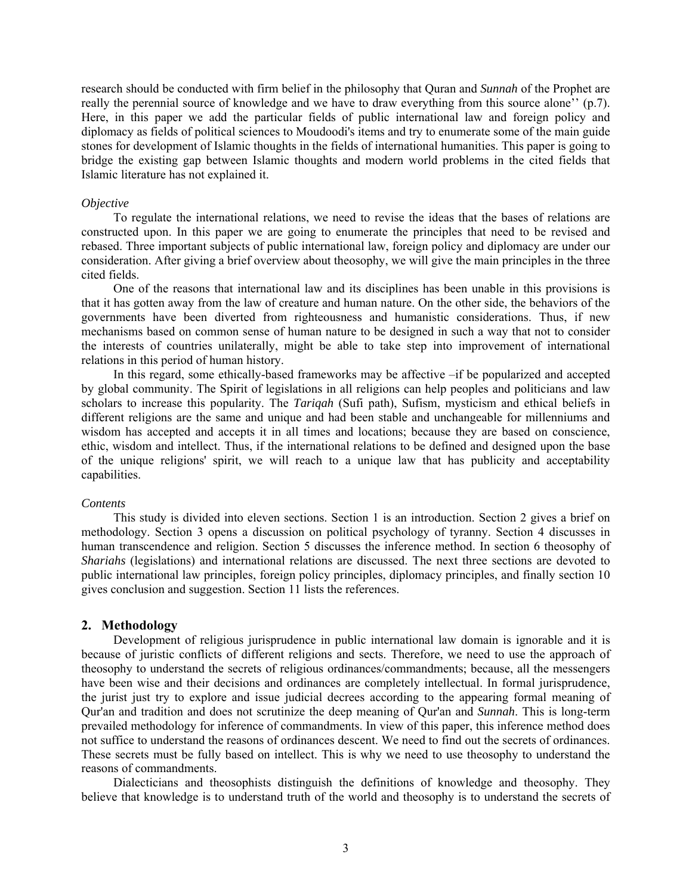research should be conducted with firm belief in the philosophy that Quran and *Sunnah* of the Prophet are really the perennial source of knowledge and we have to draw everything from this source alone'' (p.7). Here, in this paper we add the particular fields of public international law and foreign policy and diplomacy as fields of political sciences to Moudoodi's items and try to enumerate some of the main guide stones for development of Islamic thoughts in the fields of international humanities. This paper is going to bridge the existing gap between Islamic thoughts and modern world problems in the cited fields that Islamic literature has not explained it.

#### *Objective*

To regulate the international relations, we need to revise the ideas that the bases of relations are constructed upon. In this paper we are going to enumerate the principles that need to be revised and rebased. Three important subjects of public international law, foreign policy and diplomacy are under our consideration. After giving a brief overview about theosophy, we will give the main principles in the three cited fields.

One of the reasons that international law and its disciplines has been unable in this provisions is that it has gotten away from the law of creature and human nature. On the other side, the behaviors of the governments have been diverted from righteousness and humanistic considerations. Thus, if new mechanisms based on common sense of human nature to be designed in such a way that not to consider the interests of countries unilaterally, might be able to take step into improvement of international relations in this period of human history.

In this regard, some ethically-based frameworks may be affective –if be popularized and accepted by global community. The Spirit of legislations in all religions can help peoples and politicians and law scholars to increase this popularity. The *Tariqah* (Sufi path), Sufism, mysticism and ethical beliefs in different religions are the same and unique and had been stable and unchangeable for millenniums and wisdom has accepted and accepts it in all times and locations; because they are based on conscience, ethic, wisdom and intellect. Thus, if the international relations to be defined and designed upon the base of the unique religions' spirit, we will reach to a unique law that has publicity and acceptability capabilities.

#### *Contents*

This study is divided into eleven sections. Section 1 is an introduction. Section 2 gives a brief on methodology. Section 3 opens a discussion on political psychology of tyranny. Section 4 discusses in human transcendence and religion. Section 5 discusses the inference method. In section 6 theosophy of *Shariahs* (legislations) and international relations are discussed. The next three sections are devoted to public international law principles, foreign policy principles, diplomacy principles, and finally section 10 gives conclusion and suggestion. Section 11 lists the references.

#### **2. Methodology**

Development of religious jurisprudence in public international law domain is ignorable and it is because of juristic conflicts of different religions and sects. Therefore, we need to use the approach of theosophy to understand the secrets of religious ordinances/commandments; because, all the messengers have been wise and their decisions and ordinances are completely intellectual. In formal jurisprudence, the jurist just try to explore and issue judicial decrees according to the appearing formal meaning of Qur'an and tradition and does not scrutinize the deep meaning of Qur'an and *Sunnah*. This is long-term prevailed methodology for inference of commandments. In view of this paper, this inference method does not suffice to understand the reasons of ordinances descent. We need to find out the secrets of ordinances. These secrets must be fully based on intellect. This is why we need to use theosophy to understand the reasons of commandments.

Dialecticians and theosophists distinguish the definitions of knowledge and theosophy. They believe that knowledge is to understand truth of the world and theosophy is to understand the secrets of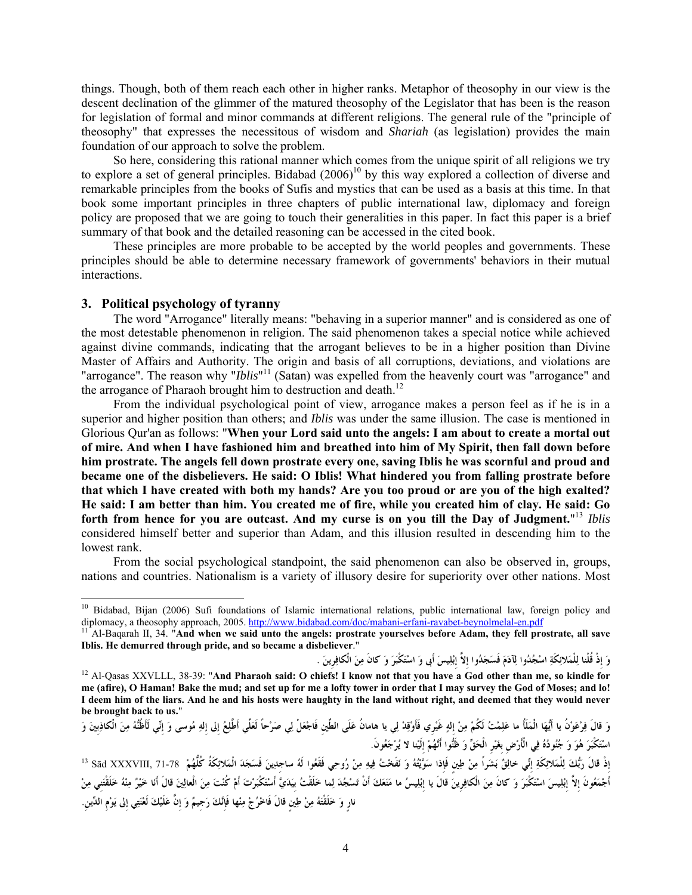things. Though, both of them reach each other in higher ranks. Metaphor of theosophy in our view is the descent declination of the glimmer of the matured theosophy of the Legislator that has been is the reason for legislation of formal and minor commands at different religions. The general rule of the "principle of theosophy" that expresses the necessitous of wisdom and *Shariah* (as legislation) provides the main foundation of our approach to solve the problem.

So here, considering this rational manner which comes from the unique spirit of all religions we try to explore a set of general principles. Bidabad  $(2006)^{10}$  by this way explored a collection of diverse and remarkable principles from the books of Sufis and mystics that can be used as a basis at this time. In that book some important principles in three chapters of public international law, diplomacy and foreign policy are proposed that we are going to touch their generalities in this paper. In fact this paper is a brief summary of that book and the detailed reasoning can be accessed in the cited book.

These principles are more probable to be accepted by the world peoples and governments. These principles should be able to determine necessary framework of governments' behaviors in their mutual interactions.

#### **3. Political psychology of tyranny**

 $\overline{a}$ 

The word "Arrogance" literally means: "behaving in a superior manner" and is considered as one of the most detestable phenomenon in religion. The said phenomenon takes a special notice while achieved against divine commands, indicating that the arrogant believes to be in a higher position than Divine Master of Affairs and Authority. The origin and basis of all corruptions, deviations, and violations are "arrogance". The reason why "*Iblis*"<sup>11</sup> (Satan) was expelled from the heavenly court was "arrogance" and the arrogance of Pharaoh brought him to destruction and death.<sup>12</sup>

From the individual psychological point of view, arrogance makes a person feel as if he is in a superior and higher position than others; and *Iblis* was under the same illusion. The case is mentioned in Glorious Qur'an as follows: "**When your Lord said unto the angels: I am about to create a mortal out of mire. And when I have fashioned him and breathed into him of My Spirit, then fall down before him prostrate. The angels fell down prostrate every one, saving Iblis he was scornful and proud and became one of the disbelievers. He said: O Iblis! What hindered you from falling prostrate before that which I have created with both my hands? Are you too proud or are you of the high exalted? He said: I am better than him. You created me of fire, while you created him of clay. He said: Go forth from hence for you are outcast. And my curse is on you till the Day of Judgment.**" <sup>13</sup> *Iblis* considered himself better and superior than Adam, and this illusion resulted in descending him to the lowest rank.

From the social psychological standpoint, the said phenomenon can also be observed in, groups, nations and countries. Nationalism is a variety of illusory desire for superiority over other nations. Most

وَ قالَ فِرْعَوْنُ يا أَيُّهَا الْمَلَأُ ما عَلِمْتُ لَكُمْ مِنْ إلهٍ غَيْرِي فَأَوْقِدْ لِي يا هامانُ عَلَى الطِّينِ فَاجْعَلْ لِي صَرْحاً لَعَلِّي أَطْلِعُ إِلى إِلهِ مُوسى وَ إِنِّي لَأَظُنُهُ مِنَ الْكاذِبِينَ وَ **اسْتَكْبَرَ هُوَ وَ جُنُودُهُ فِي الْأَرْضِ بِغَيْرِ الْحَقِّ وَ ظَنُّوا أَنَّهُمْ إِلَيْنا لا يُرْجَعُونَ.**  إِذْ قَالَ رَبُّكَ لِلْمَلائِكَةِ إِنِّي خالِقٌ بَشَراً مِنْ طِينٍ فَإِذا سَوَّيْتُهُ وَ نَفَحْتُ فِيهِ مِنْ رُوحِي فَقَعُوا لَهُ ساجدِينَ فَسَجَدَ الْمَلائِكَةُ كُلُّهُمْ 51-71 ,71-78 Sād XXXVIII ,71-78 فَا أَجْمَعُونَ إلاَّ إبْلِيسَ اسْتَكْبَرَ وَ كانَ مِنَ الْكافِرينَ قَالَ يا إبْلِيسُ ما مَنَعَكَ أَنْ تَسْجُدَ لِما خَلَقْتُ بِيَدَيَّ أَسْتَكْبَرْتَ أَمْ كُنْتَ مِنَ الْعافِينَ مِنْ نار وَ خَلَقْتَهُ مِنْ طِيَن قالَ فَاحْرُجْ مِنْها فَإِنَّكَ رَجِيمٌ وَ إِنَّ عَلَيْكَ لَعْنَتِي إِلى يَوْمِ الدِّينِ.

<sup>&</sup>lt;sup>10</sup> Bidabad, Bijan (2006) Sufi foundations of Islamic international relations, public international law, foreign policy and diplomacy, a theosophy approach, 2005. http://www.bidabad.com/doc/mabani-erfani-ravabet-beynolmelal-en.pdf<br><sup>11</sup> Al-Baqarah II, 34. "And when we said unto the angels: prostrate yourselves before Adam, they fell prostrate, a

**Iblis. He demurred through pride, and so became a disbeliever**."

وَ إِذْ قُلْنا لِلْمَلائِكَةِ اسْجُدُوا لِآهَمَ فَسَجَدُوا إِلاَّ إِبْلِيسَ أَبِى وَ اسْتَكْبَرَ وَ كانَ مِنَ الْكافِرِينَ .<br>Al-Qasas XXVLLL, 38-39: "And Pharaoh said: O chiefs! I know not that you have a God other than m **me (afire), O Haman! Bake the mud; and set up for me a lofty tower in order that I may survey the God of Moses; and lo! I deem him of the liars. And he and his hosts were haughty in the land without right, and deemed that they would never be brought back to us.**"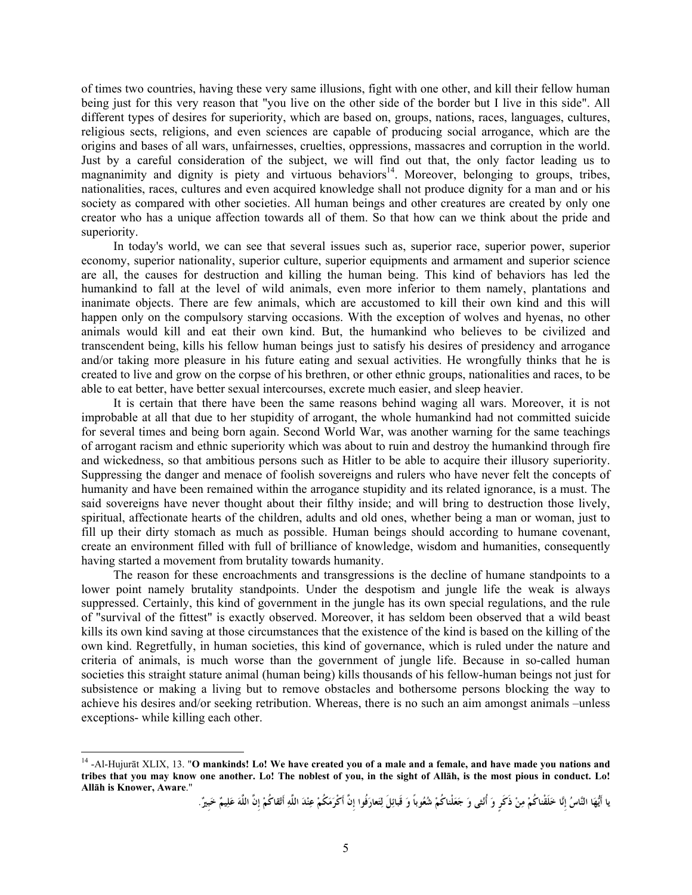of times two countries, having these very same illusions, fight with one other, and kill their fellow human being just for this very reason that "you live on the other side of the border but I live in this side". All different types of desires for superiority, which are based on, groups, nations, races, languages, cultures, religious sects, religions, and even sciences are capable of producing social arrogance, which are the origins and bases of all wars, unfairnesses, cruelties, oppressions, massacres and corruption in the world. Just by a careful consideration of the subject, we will find out that, the only factor leading us to magnanimity and dignity is piety and virtuous behaviors<sup>14</sup>. Moreover, belonging to groups, tribes, nationalities, races, cultures and even acquired knowledge shall not produce dignity for a man and or his society as compared with other societies. All human beings and other creatures are created by only one creator who has a unique affection towards all of them. So that how can we think about the pride and superiority.

In today's world, we can see that several issues such as, superior race, superior power, superior economy, superior nationality, superior culture, superior equipments and armament and superior science are all, the causes for destruction and killing the human being. This kind of behaviors has led the humankind to fall at the level of wild animals, even more inferior to them namely, plantations and inanimate objects. There are few animals, which are accustomed to kill their own kind and this will happen only on the compulsory starving occasions. With the exception of wolves and hyenas, no other animals would kill and eat their own kind. But, the humankind who believes to be civilized and transcendent being, kills his fellow human beings just to satisfy his desires of presidency and arrogance and/or taking more pleasure in his future eating and sexual activities. He wrongfully thinks that he is created to live and grow on the corpse of his brethren, or other ethnic groups, nationalities and races, to be able to eat better, have better sexual intercourses, excrete much easier, and sleep heavier.

It is certain that there have been the same reasons behind waging all wars. Moreover, it is not improbable at all that due to her stupidity of arrogant, the whole humankind had not committed suicide for several times and being born again. Second World War, was another warning for the same teachings of arrogant racism and ethnic superiority which was about to ruin and destroy the humankind through fire and wickedness, so that ambitious persons such as Hitler to be able to acquire their illusory superiority. Suppressing the danger and menace of foolish sovereigns and rulers who have never felt the concepts of humanity and have been remained within the arrogance stupidity and its related ignorance, is a must. The said sovereigns have never thought about their filthy inside; and will bring to destruction those lively, spiritual, affectionate hearts of the children, adults and old ones, whether being a man or woman, just to fill up their dirty stomach as much as possible. Human beings should according to humane covenant, create an environment filled with full of brilliance of knowledge, wisdom and humanities, consequently having started a movement from brutality towards humanity.

The reason for these encroachments and transgressions is the decline of humane standpoints to a lower point namely brutality standpoints. Under the despotism and jungle life the weak is always suppressed. Certainly, this kind of government in the jungle has its own special regulations, and the rule of "survival of the fittest" is exactly observed. Moreover, it has seldom been observed that a wild beast kills its own kind saving at those circumstances that the existence of the kind is based on the killing of the own kind. Regretfully, in human societies, this kind of governance, which is ruled under the nature and criteria of animals, is much worse than the government of jungle life. Because in so-called human societies this straight stature animal (human being) kills thousands of his fellow-human beings not just for subsistence or making a living but to remove obstacles and bothersome persons blocking the way to achieve his desires and/or seeking retribution. Whereas, there is no such an aim amongst animals –unless exceptions- while killing each other.

يا أَيُّهَا النَّاسُ إنَّا خَلَقْناكُمْ مِنْ ذَكَرٍ وَ أُنْثى وَ جَعَلْناكُمْ شُعُوباً وَ قَبائِلَ لِتَعارَفُوا إنَّ أَكْرَمَكُمْ عِنْدَ اللَّهِ أَثْقاكُمْ إنَّ اللَّهَ عَلِيمٌ خَبيرٌ.

<sup>14 -</sup>Al-Hujurāt XLIX, 13. "**O mankinds! Lo! We have created you of a male and a female, and have made you nations and tribes that you may know one another. Lo! The noblest of you, in the sight of Allāh, is the most pious in conduct. Lo! Allāh is Knower, Aware**."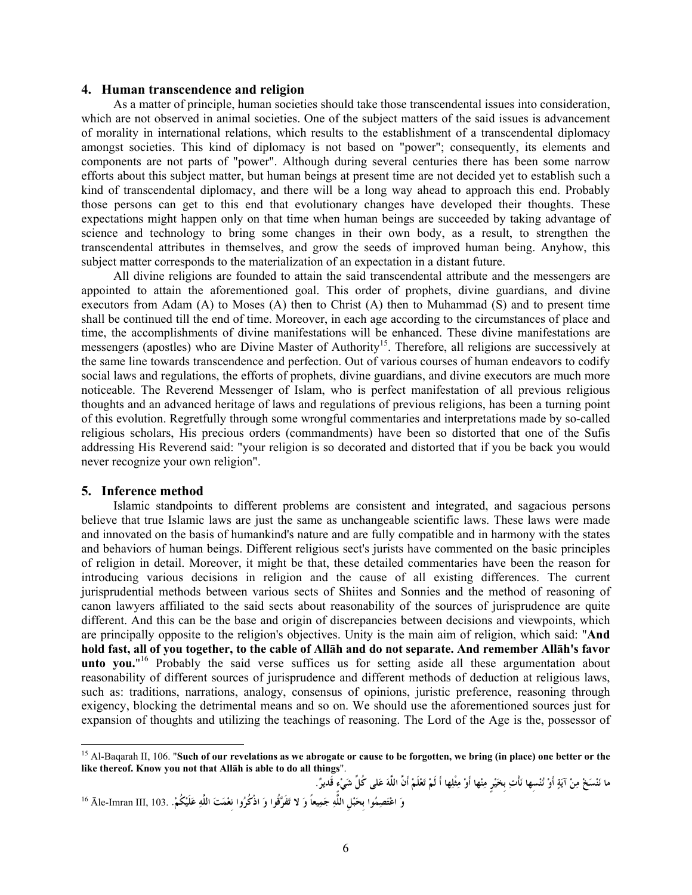#### **4. Human transcendence and religion**

As a matter of principle, human societies should take those transcendental issues into consideration, which are not observed in animal societies. One of the subject matters of the said issues is advancement of morality in international relations, which results to the establishment of a transcendental diplomacy amongst societies. This kind of diplomacy is not based on "power"; consequently, its elements and components are not parts of "power". Although during several centuries there has been some narrow efforts about this subject matter, but human beings at present time are not decided yet to establish such a kind of transcendental diplomacy, and there will be a long way ahead to approach this end. Probably those persons can get to this end that evolutionary changes have developed their thoughts. These expectations might happen only on that time when human beings are succeeded by taking advantage of science and technology to bring some changes in their own body, as a result, to strengthen the transcendental attributes in themselves, and grow the seeds of improved human being. Anyhow, this subject matter corresponds to the materialization of an expectation in a distant future.

All divine religions are founded to attain the said transcendental attribute and the messengers are appointed to attain the aforementioned goal. This order of prophets, divine guardians, and divine executors from Adam (A) to Moses (A) then to Christ (A) then to Muhammad (S) and to present time shall be continued till the end of time. Moreover, in each age according to the circumstances of place and time, the accomplishments of divine manifestations will be enhanced. These divine manifestations are messengers (apostles) who are Divine Master of Authority<sup>15</sup>. Therefore, all religions are successively at the same line towards transcendence and perfection. Out of various courses of human endeavors to codify social laws and regulations, the efforts of prophets, divine guardians, and divine executors are much more noticeable. The Reverend Messenger of Islam, who is perfect manifestation of all previous religious thoughts and an advanced heritage of laws and regulations of previous religions, has been a turning point of this evolution. Regretfully through some wrongful commentaries and interpretations made by so-called religious scholars, His precious orders (commandments) have been so distorted that one of the Sufis addressing His Reverend said: "your religion is so decorated and distorted that if you be back you would never recognize your own religion".

#### **5. Inference method**

 $\overline{a}$ 

Islamic standpoints to different problems are consistent and integrated, and sagacious persons believe that true Islamic laws are just the same as unchangeable scientific laws. These laws were made and innovated on the basis of humankind's nature and are fully compatible and in harmony with the states and behaviors of human beings. Different religious sect's jurists have commented on the basic principles of religion in detail. Moreover, it might be that, these detailed commentaries have been the reason for introducing various decisions in religion and the cause of all existing differences. The current jurisprudential methods between various sects of Shiites and Sonnies and the method of reasoning of canon lawyers affiliated to the said sects about reasonability of the sources of jurisprudence are quite different. And this can be the base and origin of discrepancies between decisions and viewpoints, which are principally opposite to the religion's objectives. Unity is the main aim of religion, which said: "**And hold fast, all of you together, to the cable of Allāh and do not separate. And remember Allāh's favor**  unto you."<sup>16</sup> Probably the said verse suffices us for setting aside all these argumentation about reasonability of different sources of jurisprudence and different methods of deduction at religious laws, such as: traditions, narrations, analogy, consensus of opinions, juristic preference, reasoning through exigency, blocking the detrimental means and so on. We should use the aforementioned sources just for expansion of thoughts and utilizing the teachings of reasoning. The Lord of the Age is the, possessor of

<sup>&</sup>lt;sup>15</sup> Al-Baqarah II, 106. "Such of our revelations as we abrogate or cause to be forgotten, we bring (in place) one better or the **like thereof. Know you not that Allāh is able to do all things**".

ما نَنْسَخْ مِنْ آيَةٍ أَوْ نُنْسها نَأْتِ بخَيْرٍ مِنْها أَوْ مِثْلِها أَ لَمْ تَعْلَمْ أَنَ اللَّهَ عَلَى كل شَيْء قديرٌ . **وَ اعْتَصِمُوا بِحَبْلِ اللَّهِ جَمِيعاً وَ لا تَفَرَّقُوا وَ اذْكُرُوا نِعْمَتَ اللَّهِ عَلَيْكُمْ .** 103. ,III Imran-Āle <sup>16</sup>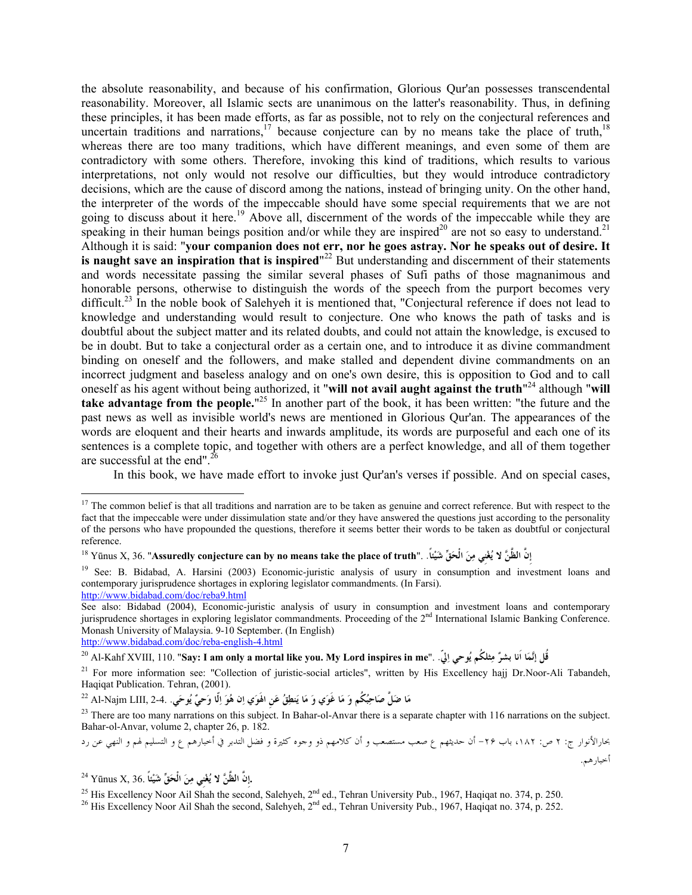the absolute reasonability, and because of his confirmation, Glorious Qur'an possesses transcendental reasonability. Moreover, all Islamic sects are unanimous on the latter's reasonability. Thus, in defining these principles, it has been made efforts, as far as possible, not to rely on the conjectural references and uncertain traditions and narrations,<sup>17</sup> because conjecture can by no means take the place of truth,<sup>18</sup> whereas there are too many traditions, which have different meanings, and even some of them are contradictory with some others. Therefore, invoking this kind of traditions, which results to various interpretations, not only would not resolve our difficulties, but they would introduce contradictory decisions, which are the cause of discord among the nations, instead of bringing unity. On the other hand, the interpreter of the words of the impeccable should have some special requirements that we are not going to discuss about it here.<sup>19</sup> Above all, discernment of the words of the impeccable while they are speaking in their human beings position and/or while they are inspired<sup>20</sup> are not so easy to understand.<sup>21</sup> Although it is said: "**your companion does not err, nor he goes astray. Nor he speaks out of desire. It**  is naught save an inspiration that is inspired<sup>"22</sup> But understanding and discernment of their statements and words necessitate passing the similar several phases of Sufi paths of those magnanimous and honorable persons, otherwise to distinguish the words of the speech from the purport becomes very difficult.<sup>23</sup> In the noble book of Salehyeh it is mentioned that, "Conjectural reference if does not lead to knowledge and understanding would result to conjecture. One who knows the path of tasks and is doubtful about the subject matter and its related doubts, and could not attain the knowledge, is excused to be in doubt. But to take a conjectural order as a certain one, and to introduce it as divine commandment binding on oneself and the followers, and make stalled and dependent divine commandments on an incorrect judgment and baseless analogy and on one's own desire, this is opposition to God and to call oneself as his agent without being authorized, it "**will not avail aught against the truth**" 24 although "**will take advantage from the people.**" 25 In another part of the book, it has been written: "the future and the past news as well as invisible world's news are mentioned in Glorious Qur'an. The appearances of the words are eloquent and their hearts and inwards amplitude, its words are purposeful and each one of its sentences is a complete topic, and together with others are a perfect knowledge, and all of them together are successful at the end".<sup>26</sup>

In this book, we have made effort to invoke just Qur'an's verses if possible. And on special cases,

20 Al-Kahf XVIII, 110. "**Say: I am only a mortal like you. My Lord inspires in me**". **. ليِّا وحيُي ثلكُمِم ٌبشر اَنا اَإنَّم قُل**

<sup>&</sup>lt;sup>17</sup> The common belief is that all traditions and narration are to be taken as genuine and correct reference. But with respect to the fact that the impeccable were under dissimulation state and/or they have answered the questions just according to the personality of the persons who have propounded the questions, therefore it seems better their words to be taken as doubtful or conjectural reference.

<sup>18</sup> Yūnus X, 36. "**Assuredly conjecture can by no means take the place of truth**". **. ئاًْيَش قَِّالْح َنِم نِيْغُي لا الظَّنَّ إِنَّ**

<sup>&</sup>lt;sup>19</sup> See: B. Bidabad, A. Harsini (2003) Economic-juristic analysis of usury in consumption and investment loans and contemporary jurisprudence shortages in exploring legislator commandments. (In Farsi). http://www.bidabad.com/doc/reba9.html

See also: Bidabad (2004), Economic-juristic analysis of usury in consumption and investment loans and contemporary jurisprudence shortages in exploring legislator commandments. Proceeding of the 2<sup>nd</sup> International Islamic Banking Conference. Monash University of Malaysia. 9-10 September. (In English) http://www.bidabad.com/doc/reba-english-4.html

<sup>&</sup>lt;sup>21</sup> For more information see: "Collection of juristic-social articles", written by His Excellency hajj Dr.Noor-Ali Tabandeh, .<br>Haqiqat Publication. Tehran, (2001).<br>مَا ضَلَّ صَاحِبُكُم وَ مَا غَوَي وَ مَا يَنطِقُ عَن الهَوَي اِن هُوَ رِلَّا وَحيٍّ يُوحَي. 4.2-Al-Najm LIII, 2-4.

<sup>&</sup>lt;sup>23</sup> There are too many narrations on this subject. In Bahar-ol-Anvar there is a separate chapter with 116 narrations on the subject. Bahar-ol-Anvar, volume 2, chapter 26, p. 182.

بحارالأنوار ج: ۲ ص: ،۱۸۲ باب -۲۶ أن حديثهم ع صعب مستصعب و أن كلامهم ذو وجوه كثيرة و فضل التدبر في أخبارهم ع و التسليم لهم و النهي عن رد أخبارهم.

**<sup>.</sup>إِنَّ الظَّنَّ لا يُغْنِي مِنَ الْحَقِّ شَيْئاً** 36. ,X Yūnus 24

<sup>&</sup>lt;sup>25</sup> His Excellency Noor Ail Shah the second, Salehyeh, 2<sup>nd</sup> ed., Tehran University Pub., 1967, Haqiqat no. 374, p. 250.<br><sup>26</sup> His Excellency Noor Ail Shah the second, Salehyeh, 2<sup>nd</sup> ed., Tehran University Pub., 1967, Ha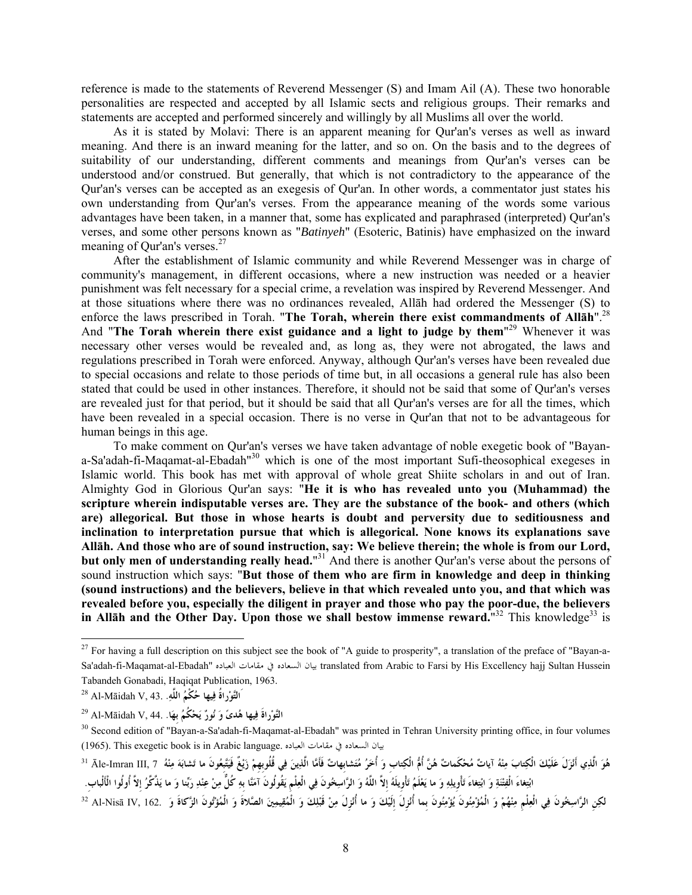reference is made to the statements of Reverend Messenger (S) and Imam Ail (A). These two honorable personalities are respected and accepted by all Islamic sects and religious groups. Their remarks and statements are accepted and performed sincerely and willingly by all Muslims all over the world.

As it is stated by Molavi: There is an apparent meaning for Qur'an's verses as well as inward meaning. And there is an inward meaning for the latter, and so on. On the basis and to the degrees of suitability of our understanding, different comments and meanings from Qur'an's verses can be understood and/or construed. But generally, that which is not contradictory to the appearance of the Qur'an's verses can be accepted as an exegesis of Qur'an. In other words, a commentator just states his own understanding from Qur'an's verses. From the appearance meaning of the words some various advantages have been taken, in a manner that, some has explicated and paraphrased (interpreted) Qur'an's verses, and some other persons known as "*Batinyeh*" (Esoteric, Batinis) have emphasized on the inward meaning of Qur'an's verses.<sup>27</sup>

After the establishment of Islamic community and while Reverend Messenger was in charge of community's management, in different occasions, where a new instruction was needed or a heavier punishment was felt necessary for a special crime, a revelation was inspired by Reverend Messenger. And at those situations where there was no ordinances revealed, Allāh had ordered the Messenger (S) to enforce the laws prescribed in Torah. "**The Torah, wherein there exist commandments of Allāh**".28 And "The Torah wherein there exist guidance and a light to judge by them<sup>"29</sup> Whenever it was necessary other verses would be revealed and, as long as, they were not abrogated, the laws and regulations prescribed in Torah were enforced. Anyway, although Qur'an's verses have been revealed due to special occasions and relate to those periods of time but, in all occasions a general rule has also been stated that could be used in other instances. Therefore, it should not be said that some of Qur'an's verses are revealed just for that period, but it should be said that all Qur'an's verses are for all the times, which have been revealed in a special occasion. There is no verse in Qur'an that not to be advantageous for human beings in this age.

To make comment on Qur'an's verses we have taken advantage of noble exegetic book of "Bayana-Sa'adah-fi-Maqamat-al-Ebadah<sup>"30</sup> which is one of the most important Sufi-theosophical exegeses in Islamic world. This book has met with approval of whole great Shiite scholars in and out of Iran. Almighty God in Glorious Qur'an says: "**He it is who has revealed unto you (Muhammad) the scripture wherein indisputable verses are. They are the substance of the book- and others (which are) allegorical. But those in whose hearts is doubt and perversity due to seditiousness and inclination to interpretation pursue that which is allegorical. None knows its explanations save Allāh. And those who are of sound instruction, say: We believe therein; the whole is from our Lord,**  but only men of understanding really head."<sup>31</sup> And there is another Qur'an's verse about the persons of sound instruction which says: "**But those of them who are firm in knowledge and deep in thinking (sound instructions) and the believers, believe in that which revealed unto you, and that which was revealed before you, especially the diligent in prayer and those who pay the poor-due, the believers**  in All**ah and the Other Day.** Upon those we shall bestow immense reward.<sup>"32</sup> This knowledge<sup>33</sup> is

 $\overline{a}$ 

هُوَ الَّذِي أَنْزَلَ عَلَيْكَ الْكِتابَ مِنْهُ آياتٌ مُحْكَماتٌ هُنَّ أُمُّ الْكِتاب وَ أُخَرُ مُتَشابهاتٌ فَأَمَّا الَّذِينَ فِي قُلُوبهمْ زَيْغٌ فَيَتَّبعُونَ ما تَشابَه الله عنه أَمَّا الله عنه Ale-Imran III, 7 ^ 31 A ابْتِغاءَ الْفِتْنَةِ وَ ابْتِغاءَ تَأْوِيلِهِ وَ ما يَعْلَمُ تَأْوِيلَهُ إِلاَّ اللَّهُ وَ الرَّاسِخُونَ فِي الْعِلْمِ يَقُولُونَ اَمَنَّا بِهِ كُلٌّ مِنْ عِنْدِ رَبِّنا وَ ما يَذْكُرُ إِلاَّ أُولُوا الْأَلْباب.

<sup>&</sup>lt;sup>27</sup> For having a full description on this subject see the book of "A guide to prosperity", a translation of the preface of "Bayan-a-Sa'adah-fi-Maqamat-al-Ebadah" العباده مقامات في السعاده بيان translated from Arabic to Farsi by His Excellency hajj Sultan Hussein Tabandeh Gonabadi, Haqiqat Publication, 1963.

**<sup>َ</sup>التَّوْراةُ فِيها حُكْمُ اللَّهِ .** 43. ,V Māidah-Al 28

<sup>29</sup> Al-Māidah V, 44. **. اَبِه ُكُمْحَي ٌورُن َو ًدىُه يهاِف راةَْالتَّو**

<sup>30</sup> Second edition of "Bayan-a-Sa'adah-fi-Maqamat-al-Ebadah" was printed in Tehran University printing office, in four volumes (1965). This exegetic book is in Arabic language. العباده مقامات في السعاده بيان

لكِن الرَّاسِخُونَ فِي الْعِلْمِ مِنْهُمْ وَ الْمُؤْمِنُونَ يَوْمِنُونَ بِما أُنْزِلَ إِلَيْكَ وَ ما أُنْزِلَ مِنْ قَبْلِكَ وَ الْمُقِيمِينَ الصَّلاةَ وَ الْمُؤْتِونَ الرَّكَاةَ وَ ما أَنْزِلَ مِنْ قَبْلِكَ وَ الْمُقِيمِي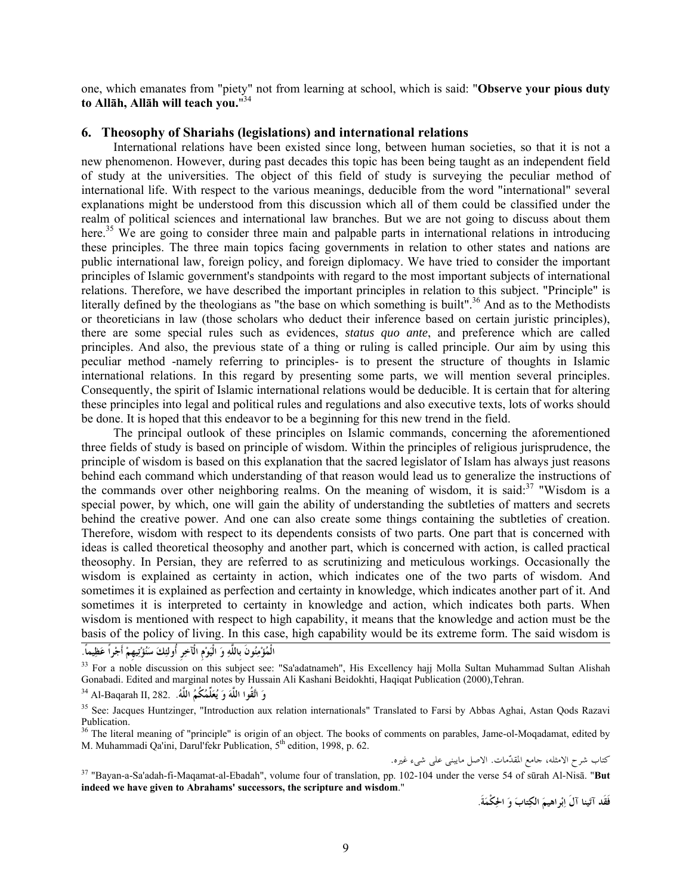one, which emanates from "piety" not from learning at school, which is said: "**Observe your pious duty to Allāh, Allāh will teach you.**" 34

### **6. Theosophy of Shariahs (legislations) and international relations**

International relations have been existed since long, between human societies, so that it is not a new phenomenon. However, during past decades this topic has been being taught as an independent field of study at the universities. The object of this field of study is surveying the peculiar method of international life. With respect to the various meanings, deducible from the word "international" several explanations might be understood from this discussion which all of them could be classified under the realm of political sciences and international law branches. But we are not going to discuss about them here.<sup>35</sup> We are going to consider three main and palpable parts in international relations in introducing these principles. The three main topics facing governments in relation to other states and nations are public international law, foreign policy, and foreign diplomacy. We have tried to consider the important principles of Islamic government's standpoints with regard to the most important subjects of international relations. Therefore, we have described the important principles in relation to this subject. "Principle" is literally defined by the theologians as "the base on which something is built".<sup>36</sup> And as to the Methodists or theoreticians in law (those scholars who deduct their inference based on certain juristic principles), there are some special rules such as evidences, *status quo ante*, and preference which are called principles. And also, the previous state of a thing or ruling is called principle. Our aim by using this peculiar method -namely referring to principles- is to present the structure of thoughts in Islamic international relations. In this regard by presenting some parts, we will mention several principles. Consequently, the spirit of Islamic international relations would be deducible. It is certain that for altering these principles into legal and political rules and regulations and also executive texts, lots of works should be done. It is hoped that this endeavor to be a beginning for this new trend in the field.

The principal outlook of these principles on Islamic commands, concerning the aforementioned three fields of study is based on principle of wisdom. Within the principles of religious jurisprudence, the principle of wisdom is based on this explanation that the sacred legislator of Islam has always just reasons behind each command which understanding of that reason would lead us to generalize the instructions of the commands over other neighboring realms. On the meaning of wisdom, it is said:<sup>37</sup> "Wisdom is a special power, by which, one will gain the ability of understanding the subtleties of matters and secrets behind the creative power. And one can also create some things containing the subtleties of creation. Therefore, wisdom with respect to its dependents consists of two parts. One part that is concerned with ideas is called theoretical theosophy and another part, which is concerned with action, is called practical theosophy. In Persian, they are referred to as scrutinizing and meticulous workings. Occasionally the wisdom is explained as certainty in action, which indicates one of the two parts of wisdom. And sometimes it is explained as perfection and certainty in knowledge, which indicates another part of it. And sometimes it is interpreted to certainty in knowledge and action, which indicates both parts. When wisdom is mentioned with respect to high capability, it means that the knowledge and action must be the basis of the policy of living. In this case, high capability would be its extreme form. The said wisdom is

<sup>36</sup> The literal meaning of "principle" is origin of an object. The books of comments on parables, Jame-ol-Moqadamat, edited by M. Muhammadi Qa'ini, Darul'fekr Publication, 5<sup>th</sup> edition, 1998, p. 62.

كتاب شرح الامثله، جامع المقدّمات. الاصل مايبنی علی شیء غیره.

**فَقَد آتَينا آلَ اِبْراهيمَ الكِتابَ وَ الحِكْمَةَ.** 

الْمُؤْمِنُونَ بِاللَّهِ وَ الْيَوْمِ الْآخِرِ أُولَئِكَ سَنُوُّنِيهِمْ أَجْراً عَظِيماً.<br><sup>33</sup> For a noble discussion on this subject see: "Sa'adatnameh", His Excellency hajj Molla Sultan Muhammad Sultan Alishah Gonabadi. Edited and marginal notes by Hussain Ali Kashani Beidokhti, Haqiqat Publication (2000),Tehran.

<sup>34</sup> Al-Baqarah II, 282. **. ُاللَّه ُكُمُلِّمَعُي َو َاللَّه اتَّقُوا َو**

<sup>&</sup>lt;sup>35</sup> See: Jacques Huntzinger, "Introduction aux relation internationals" Translated to Farsi by Abbas Aghai, Astan Qods Razavi Publication.

<sup>37&</sup>quot; Bayan-a-Sa'adah-fi-Maqamat-al-Ebadah", volume four of translation, pp. 102-104 under the verse 54 of sūrah Al-Nisā. "**But indeed we have given to Abrahams' successors, the scripture and wisdom**."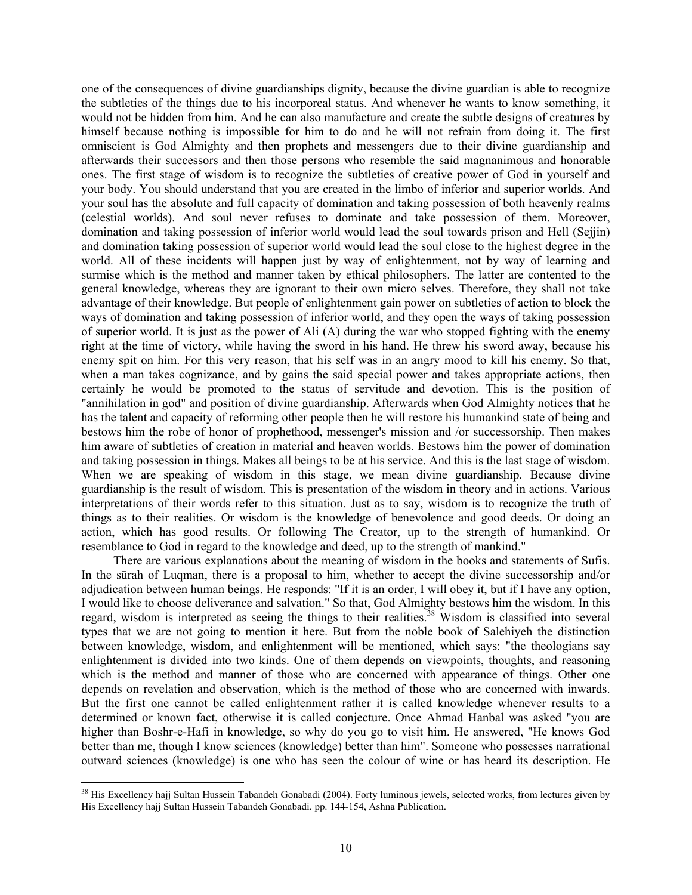one of the consequences of divine guardianships dignity, because the divine guardian is able to recognize the subtleties of the things due to his incorporeal status. And whenever he wants to know something, it would not be hidden from him. And he can also manufacture and create the subtle designs of creatures by himself because nothing is impossible for him to do and he will not refrain from doing it. The first omniscient is God Almighty and then prophets and messengers due to their divine guardianship and afterwards their successors and then those persons who resemble the said magnanimous and honorable ones. The first stage of wisdom is to recognize the subtleties of creative power of God in yourself and your body. You should understand that you are created in the limbo of inferior and superior worlds. And your soul has the absolute and full capacity of domination and taking possession of both heavenly realms (celestial worlds). And soul never refuses to dominate and take possession of them. Moreover, domination and taking possession of inferior world would lead the soul towards prison and Hell (Sejjin) and domination taking possession of superior world would lead the soul close to the highest degree in the world. All of these incidents will happen just by way of enlightenment, not by way of learning and surmise which is the method and manner taken by ethical philosophers. The latter are contented to the general knowledge, whereas they are ignorant to their own micro selves. Therefore, they shall not take advantage of their knowledge. But people of enlightenment gain power on subtleties of action to block the ways of domination and taking possession of inferior world, and they open the ways of taking possession of superior world. It is just as the power of Ali (A) during the war who stopped fighting with the enemy right at the time of victory, while having the sword in his hand. He threw his sword away, because his enemy spit on him. For this very reason, that his self was in an angry mood to kill his enemy. So that, when a man takes cognizance, and by gains the said special power and takes appropriate actions, then certainly he would be promoted to the status of servitude and devotion. This is the position of "annihilation in god" and position of divine guardianship. Afterwards when God Almighty notices that he has the talent and capacity of reforming other people then he will restore his humankind state of being and bestows him the robe of honor of prophethood, messenger's mission and /or successorship. Then makes him aware of subtleties of creation in material and heaven worlds. Bestows him the power of domination and taking possession in things. Makes all beings to be at his service. And this is the last stage of wisdom. When we are speaking of wisdom in this stage, we mean divine guardianship. Because divine guardianship is the result of wisdom. This is presentation of the wisdom in theory and in actions. Various interpretations of their words refer to this situation. Just as to say, wisdom is to recognize the truth of things as to their realities. Or wisdom is the knowledge of benevolence and good deeds. Or doing an action, which has good results. Or following The Creator, up to the strength of humankind. Or resemblance to God in regard to the knowledge and deed, up to the strength of mankind."

There are various explanations about the meaning of wisdom in the books and statements of Sufis. In the sūrah of Luqman, there is a proposal to him, whether to accept the divine successorship and/or adjudication between human beings. He responds: "If it is an order, I will obey it, but if I have any option, I would like to choose deliverance and salvation." So that, God Almighty bestows him the wisdom. In this regard, wisdom is interpreted as seeing the things to their realities.<sup>38</sup> Wisdom is classified into several types that we are not going to mention it here. But from the noble book of Salehiyeh the distinction between knowledge, wisdom, and enlightenment will be mentioned, which says: "the theologians say enlightenment is divided into two kinds. One of them depends on viewpoints, thoughts, and reasoning which is the method and manner of those who are concerned with appearance of things. Other one depends on revelation and observation, which is the method of those who are concerned with inwards. But the first one cannot be called enlightenment rather it is called knowledge whenever results to a determined or known fact, otherwise it is called conjecture. Once Ahmad Hanbal was asked "you are higher than Boshr-e-Hafi in knowledge, so why do you go to visit him. He answered, "He knows God better than me, though I know sciences (knowledge) better than him". Someone who possesses narrational outward sciences (knowledge) is one who has seen the colour of wine or has heard its description. He

<sup>&</sup>lt;sup>38</sup> His Excellency hajj Sultan Hussein Tabandeh Gonabadi (2004). Forty luminous jewels, selected works, from lectures given by His Excellency hajj Sultan Hussein Tabandeh Gonabadi. pp. 144-154, Ashna Publication.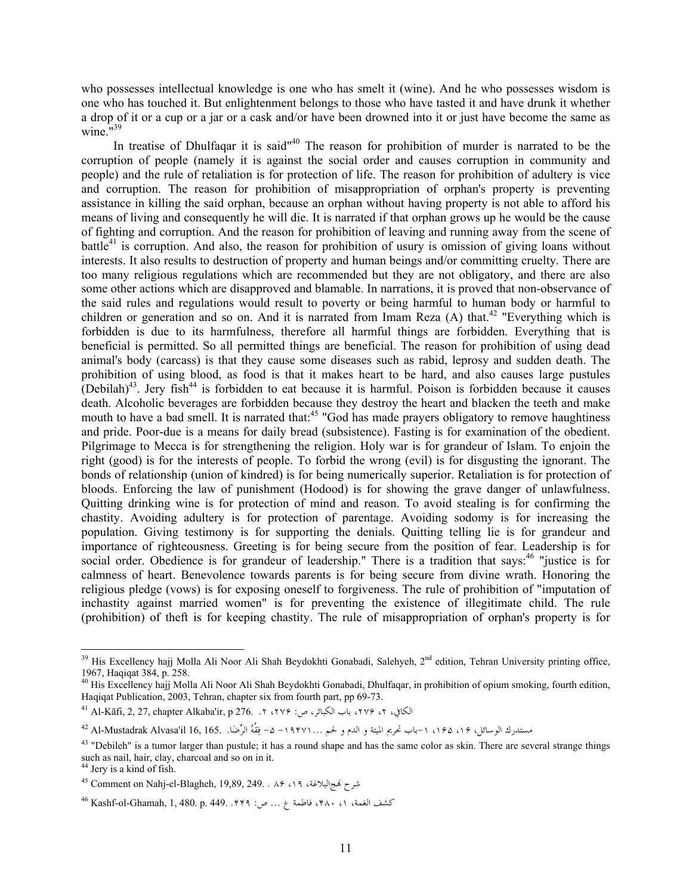who possesses intellectual knowledge is one who has smelt it (wine). And he who possesses wisdom is one who has touched it. But enlightenment belongs to those who have tasted it and have drunk it whether a drop of it or a cup or a jar or a cask and/or have been drowned into it or just have become the same as wine."<sup>39</sup>

In treatise of Dhulfaqar it is said<sup>440</sup> The reason for prohibition of murder is narrated to be the corruption of people (namely it is against the social order and causes corruption in community and people) and the rule of retaliation is for protection of life. The reason for prohibition of adultery is vice and corruption. The reason for prohibition of misappropriation of orphan's property is preventing assistance in killing the said orphan, because an orphan without having property is not able to afford his means of living and consequently he will die. It is narrated if that orphan grows up he would be the cause of fighting and corruption. And the reason for prohibition of leaving and running away from the scene of  $b$ attle $41$  is corruption. And also, the reason for prohibition of usury is omission of giving loans without interests. It also results to destruction of property and human beings and/or committing cruelty. There are too many religious regulations which are recommended but they are not obligatory, and there are also some other actions which are disapproved and blamable. In narrations, it is proved that non-observance of the said rules and regulations would result to poverty or being harmful to human body or harmful to children or generation and so on. And it is narrated from Imam Reza  $(A)$  that.<sup>42</sup> "Everything which is forbidden is due to its harmfulness, therefore all harmful things are forbidden. Everything that is beneficial is permitted. So all permitted things are beneficial. The reason for prohibition of using dead animal's body (carcass) is that they cause some diseases such as rabid, leprosy and sudden death. The prohibition of using blood, as food is that it makes heart to be hard, and also causes large pustules  $(Debilah)^{43}$ . Jery fish<sup>44</sup> is forbidden to eat because it is harmful. Poison is forbidden because it causes death. Alcoholic beverages are forbidden because they destroy the heart and blacken the teeth and make mouth to have a bad smell. It is narrated that:<sup>45</sup> "God has made prayers obligatory to remove haughtiness and pride. Poor-due is a means for daily bread (subsistence). Fasting is for examination of the obedient. Pilgrimage to Mecca is for strengthening the religion. Holy war is for grandeur of Islam. To enjoin the right (good) is for the interests of people. To forbid the wrong (evil) is for disgusting the ignorant. The bonds of relationship (union of kindred) is for being numerically superior. Retaliation is for protection of bloods. Enforcing the law of punishment (Hodood) is for showing the grave danger of unlawfulness. Quitting drinking wine is for protection of mind and reason. To avoid stealing is for confirming the chastity. Avoiding adultery is for protection of parentage. Avoiding sodomy is for increasing the population. Giving testimony is for supporting the denials. Quitting telling lie is for grandeur and importance of righteousness. Greeting is for being secure from the position of fear. Leadership is for social order. Obedience is for grandeur of leadership." There is a tradition that says:<sup>46</sup> "justice is for calmness of heart. Benevolence towards parents is for being secure from divine wrath. Honoring the religious pledge (vows) is for exposing oneself to forgiveness. The rule of prohibition of "imputation of inchastity against married women" is for preventing the existence of illegitimate child. The rule (prohibition) of theft is for keeping chastity. The rule of misappropriation of orphan's property is for

مستدرك الوسائل، ۱۶، ۱۶۵، ا-باب تحريم الميتة و الدم و لحم ...١٩۴٧١. - ۵= فِقْهُ الرِّضَا. .Al-Mustadrak Alvasa'il 16, 165. فَقْهُ الرِّضَا.

<sup>&</sup>lt;sup>39</sup> His Excellency hajj Molla Ali Noor Ali Shah Beydokhti Gonabadi, Salehyeh, 2<sup>nd</sup> edition, Tehran University printing office, 1967, Haqiqat 384, p. 258.

<sup>40</sup> His Excellency hajj Molla Ali Noor Ali Shah Beydokhti Gonabadi, Dhulfaqar, in prohibition of opium smoking, fourth edition, Haqiqat Publication, 2003, Tehran, chapter six from fourth part, pp 69-73.

<sup>41</sup> Al-Kāfi, 2, 27, chapter Alkaba'ir, p 276. **.** ۲ ،۲۷۶ :ص ،الكبائر باب ،۲۷۶ ،۲ ،الكافي

 $43$  "Debileh" is a tumor larger than pustule; it has a round shape and has the same color as skin. There are several strange things such as nail, hair, clay, charcoal and so on in it.

<sup>44</sup> Jery is a kind of fish.

<sup>45</sup> Comment on Nahj-el-Blagheh, 19,89, 249. . ۸۶ ،۱۹ ،هنجالبلاغة شرح

 $^{46}$  Kashf-ol-Ghamah, 1, 480. p. 449. .۴۴۹ فاطمة ع ... ص: 1۴۹۰ م 449. .۴۴۹ من 44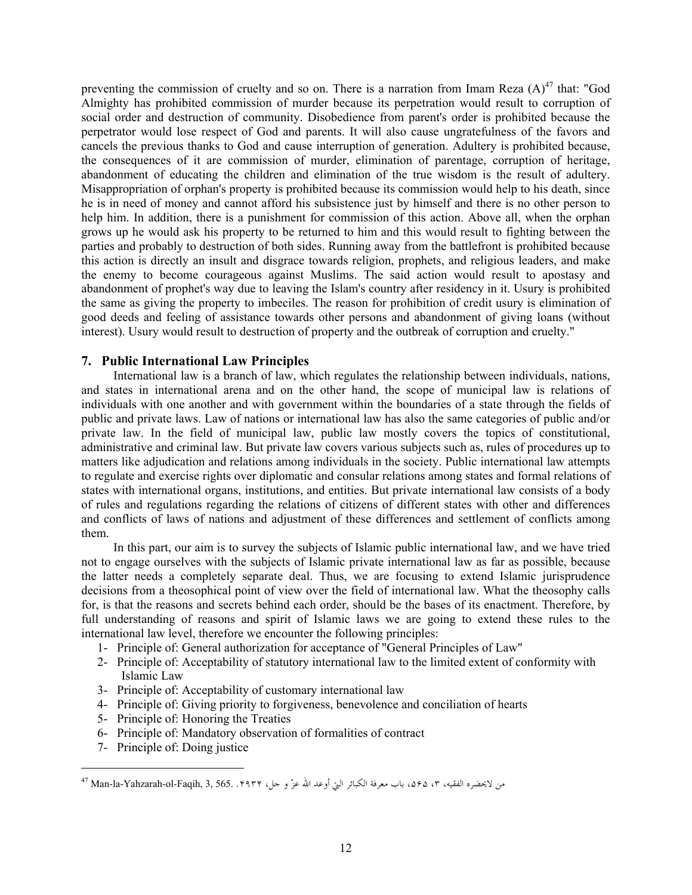preventing the commission of cruelty and so on. There is a narration from Imam Reza  $(A)^{47}$  that: "God Almighty has prohibited commission of murder because its perpetration would result to corruption of social order and destruction of community. Disobedience from parent's order is prohibited because the perpetrator would lose respect of God and parents. It will also cause ungratefulness of the favors and cancels the previous thanks to God and cause interruption of generation. Adultery is prohibited because, the consequences of it are commission of murder, elimination of parentage, corruption of heritage, abandonment of educating the children and elimination of the true wisdom is the result of adultery. Misappropriation of orphan's property is prohibited because its commission would help to his death, since he is in need of money and cannot afford his subsistence just by himself and there is no other person to help him. In addition, there is a punishment for commission of this action. Above all, when the orphan grows up he would ask his property to be returned to him and this would result to fighting between the parties and probably to destruction of both sides. Running away from the battlefront is prohibited because this action is directly an insult and disgrace towards religion, prophets, and religious leaders, and make the enemy to become courageous against Muslims. The said action would result to apostasy and abandonment of prophet's way due to leaving the Islam's country after residency in it. Usury is prohibited the same as giving the property to imbeciles. The reason for prohibition of credit usury is elimination of good deeds and feeling of assistance towards other persons and abandonment of giving loans (without interest). Usury would result to destruction of property and the outbreak of corruption and cruelty."

#### **7. Public International Law Principles**

International law is a branch of law, which regulates the relationship between individuals, nations, and states in international arena and on the other hand, the scope of municipal law is relations of individuals with one another and with government within the boundaries of a state through the fields of public and private laws. Law of nations or international law has also the same categories of public and/or private law. In the field of municipal law, public law mostly covers the topics of constitutional, administrative and criminal law. But private law covers various subjects such as, rules of procedures up to matters like adjudication and relations among individuals in the society. Public international law attempts to regulate and exercise rights over diplomatic and consular relations among states and formal relations of states with international organs, institutions, and entities. But private international law consists of a body of rules and regulations regarding the relations of citizens of different states with other and differences and conflicts of laws of nations and adjustment of these differences and settlement of conflicts among them.

In this part, our aim is to survey the subjects of Islamic public international law, and we have tried not to engage ourselves with the subjects of Islamic private international law as far as possible, because the latter needs a completely separate deal. Thus, we are focusing to extend Islamic jurisprudence decisions from a theosophical point of view over the field of international law. What the theosophy calls for, is that the reasons and secrets behind each order, should be the bases of its enactment. Therefore, by full understanding of reasons and spirit of Islamic laws we are going to extend these rules to the international law level, therefore we encounter the following principles:

- 1- Principle of: General authorization for acceptance of "General Principles of Law"
- 2- Principle of: Acceptability of statutory international law to the limited extent of conformity with Islamic Law
- 3- Principle of: Acceptability of customary international law
- 4- Principle of: Giving priority to forgiveness, benevolence and conciliation of hearts
- 5- Principle of: Honoring the Treaties
- 6- Principle of: Mandatory observation of formalities of contract
- 7- Principle of: Doing justice

من لايحضره الفقيه، ۳، ۵۶۵، باب معرفة الكبائر التي أوعد الله عزّ و جل، ۴۹۳۴. Man-la-Yahzarah-ol-Faqih, 3, 565.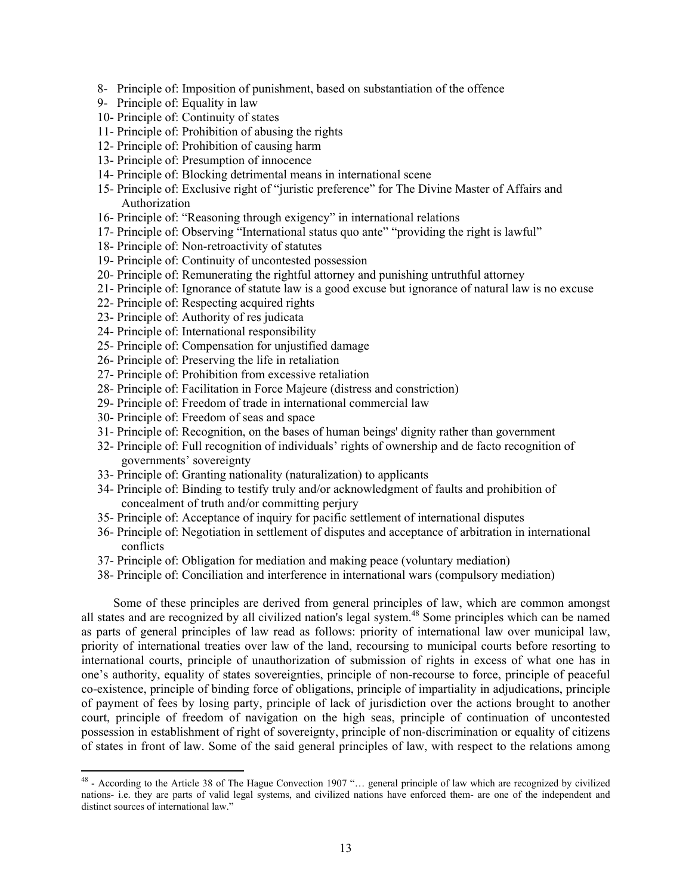- 8- Principle of: Imposition of punishment, based on substantiation of the offence
- 9- Principle of: Equality in law
- 10- Principle of: Continuity of states
- 11- Principle of: Prohibition of abusing the rights
- 12- Principle of: Prohibition of causing harm
- 13- Principle of: Presumption of innocence
- 14- Principle of: Blocking detrimental means in international scene
- 15- Principle of: Exclusive right of "juristic preference" for The Divine Master of Affairs and Authorization
- 16- Principle of: "Reasoning through exigency" in international relations
- 17- Principle of: Observing "International status quo ante" "providing the right is lawful"
- 18- Principle of: Non-retroactivity of statutes
- 19- Principle of: Continuity of uncontested possession
- 20- Principle of: Remunerating the rightful attorney and punishing untruthful attorney
- 21- Principle of: Ignorance of statute law is a good excuse but ignorance of natural law is no excuse
- 22- Principle of: Respecting acquired rights
- 23- Principle of: Authority of res judicata
- 24- Principle of: International responsibility
- 25- Principle of: Compensation for unjustified damage
- 26- Principle of: Preserving the life in retaliation
- 27- Principle of: Prohibition from excessive retaliation
- 28- Principle of: Facilitation in Force Majeure (distress and constriction)
- 29- Principle of: Freedom of trade in international commercial law
- 30- Principle of: Freedom of seas and space

 $\overline{a}$ 

- 31- Principle of: Recognition, on the bases of human beings' dignity rather than government
- 32- Principle of: Full recognition of individuals' rights of ownership and de facto recognition of governments' sovereignty
- 33- Principle of: Granting nationality (naturalization) to applicants
- 34- Principle of: Binding to testify truly and/or acknowledgment of faults and prohibition of concealment of truth and/or committing perjury
- 35- Principle of: Acceptance of inquiry for pacific settlement of international disputes
- 36- Principle of: Negotiation in settlement of disputes and acceptance of arbitration in international conflicts
- 37- Principle of: Obligation for mediation and making peace (voluntary mediation)
- 38- Principle of: Conciliation and interference in international wars (compulsory mediation)

Some of these principles are derived from general principles of law, which are common amongst all states and are recognized by all civilized nation's legal system.<sup>48</sup> Some principles which can be named as parts of general principles of law read as follows: priority of international law over municipal law, priority of international treaties over law of the land, recoursing to municipal courts before resorting to international courts, principle of unauthorization of submission of rights in excess of what one has in one's authority, equality of states sovereignties, principle of non-recourse to force, principle of peaceful co-existence, principle of binding force of obligations, principle of impartiality in adjudications, principle of payment of fees by losing party, principle of lack of jurisdiction over the actions brought to another court, principle of freedom of navigation on the high seas, principle of continuation of uncontested possession in establishment of right of sovereignty, principle of non-discrimination or equality of citizens of states in front of law. Some of the said general principles of law, with respect to the relations among

<sup>&</sup>lt;sup>48</sup> - According to the Article 38 of The Hague Convection 1907 "... general principle of law which are recognized by civilized nations- i.e. they are parts of valid legal systems, and civilized nations have enforced them- are one of the independent and distinct sources of international law."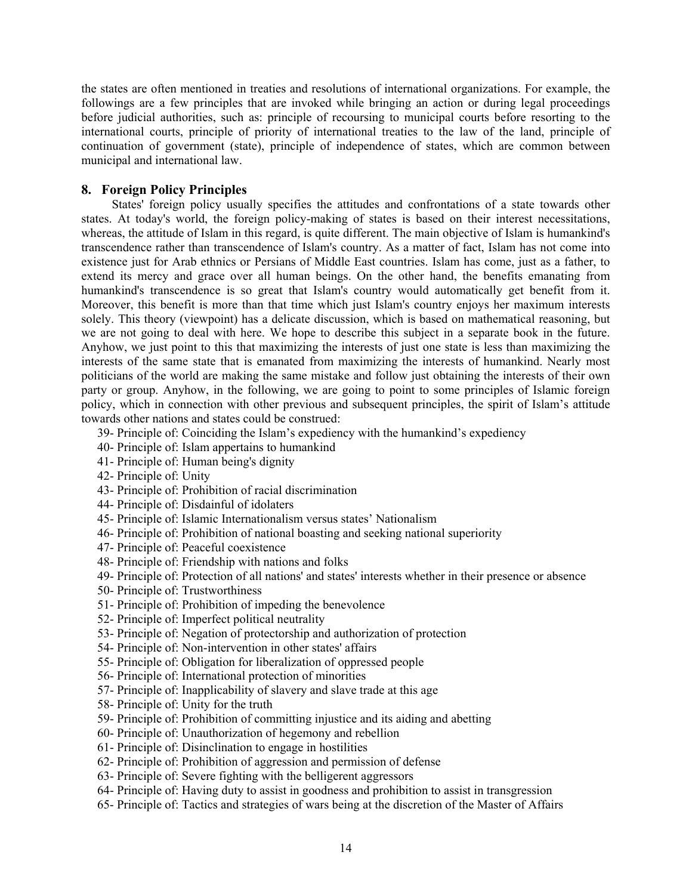the states are often mentioned in treaties and resolutions of international organizations. For example, the followings are a few principles that are invoked while bringing an action or during legal proceedings before judicial authorities, such as: principle of recoursing to municipal courts before resorting to the international courts, principle of priority of international treaties to the law of the land, principle of continuation of government (state), principle of independence of states, which are common between municipal and international law.

# **8. Foreign Policy Principles**

States' foreign policy usually specifies the attitudes and confrontations of a state towards other states. At today's world, the foreign policy-making of states is based on their interest necessitations, whereas, the attitude of Islam in this regard, is quite different. The main objective of Islam is humankind's transcendence rather than transcendence of Islam's country. As a matter of fact, Islam has not come into existence just for Arab ethnics or Persians of Middle East countries. Islam has come, just as a father, to extend its mercy and grace over all human beings. On the other hand, the benefits emanating from humankind's transcendence is so great that Islam's country would automatically get benefit from it. Moreover, this benefit is more than that time which just Islam's country enjoys her maximum interests solely. This theory (viewpoint) has a delicate discussion, which is based on mathematical reasoning, but we are not going to deal with here. We hope to describe this subject in a separate book in the future. Anyhow, we just point to this that maximizing the interests of just one state is less than maximizing the interests of the same state that is emanated from maximizing the interests of humankind. Nearly most politicians of the world are making the same mistake and follow just obtaining the interests of their own party or group. Anyhow, in the following, we are going to point to some principles of Islamic foreign policy, which in connection with other previous and subsequent principles, the spirit of Islam's attitude towards other nations and states could be construed:

- 39- Principle of: Coinciding the Islam's expediency with the humankind's expediency
- 40- Principle of: Islam appertains to humankind
- 41- Principle of: Human being's dignity
- 42- Principle of: Unity
- 43- Principle of: Prohibition of racial discrimination
- 44- Principle of: Disdainful of idolaters
- 45- Principle of: Islamic Internationalism versus states' Nationalism
- 46- Principle of: Prohibition of national boasting and seeking national superiority
- 47- Principle of: Peaceful coexistence
- 48- Principle of: Friendship with nations and folks
- 49- Principle of: Protection of all nations' and states' interests whether in their presence or absence
- 50- Principle of: Trustworthiness
- 51- Principle of: Prohibition of impeding the benevolence
- 52- Principle of: Imperfect political neutrality
- 53- Principle of: Negation of protectorship and authorization of protection
- 54- Principle of: Non-intervention in other states' affairs
- 55- Principle of: Obligation for liberalization of oppressed people
- 56- Principle of: International protection of minorities
- 57- Principle of: Inapplicability of slavery and slave trade at this age
- 58- Principle of: Unity for the truth
- 59- Principle of: Prohibition of committing injustice and its aiding and abetting
- 60- Principle of: Unauthorization of hegemony and rebellion
- 61- Principle of: Disinclination to engage in hostilities
- 62- Principle of: Prohibition of aggression and permission of defense
- 63- Principle of: Severe fighting with the belligerent aggressors
- 64- Principle of: Having duty to assist in goodness and prohibition to assist in transgression
- 65- Principle of: Tactics and strategies of wars being at the discretion of the Master of Affairs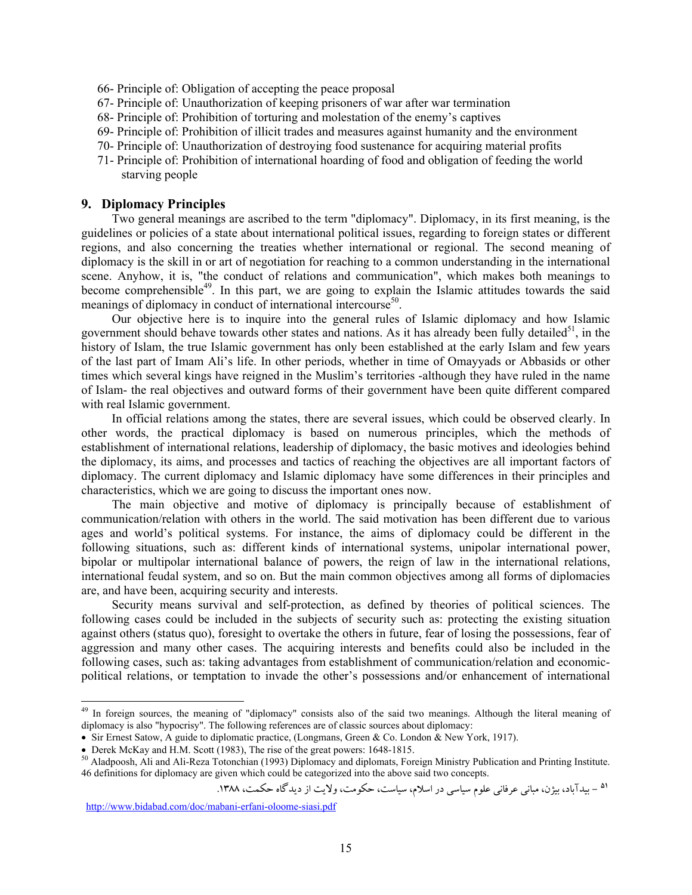- 66- Principle of: Obligation of accepting the peace proposal
- 67- Principle of: Unauthorization of keeping prisoners of war after war termination
- 68- Principle of: Prohibition of torturing and molestation of the enemy's captives
- 69- Principle of: Prohibition of illicit trades and measures against humanity and the environment
- 70- Principle of: Unauthorization of destroying food sustenance for acquiring material profits
- 71- Principle of: Prohibition of international hoarding of food and obligation of feeding the world starving people

# **9. Diplomacy Principles**

Two general meanings are ascribed to the term "diplomacy". Diplomacy, in its first meaning, is the guidelines or policies of a state about international political issues, regarding to foreign states or different regions, and also concerning the treaties whether international or regional. The second meaning of diplomacy is the skill in or art of negotiation for reaching to a common understanding in the international scene. Anyhow, it is, "the conduct of relations and communication", which makes both meanings to become comprehensible<sup>49</sup>. In this part, we are going to explain the Islamic attitudes towards the said meanings of diplomacy in conduct of international intercourse<sup>50</sup>.

Our objective here is to inquire into the general rules of Islamic diplomacy and how Islamic government should behave towards other states and nations. As it has already been fully detailed $51$ , in the history of Islam, the true Islamic government has only been established at the early Islam and few years of the last part of Imam Ali's life. In other periods, whether in time of Omayyads or Abbasids or other times which several kings have reigned in the Muslim's territories -although they have ruled in the name of Islam- the real objectives and outward forms of their government have been quite different compared with real Islamic government.

In official relations among the states, there are several issues, which could be observed clearly. In other words, the practical diplomacy is based on numerous principles, which the methods of establishment of international relations, leadership of diplomacy, the basic motives and ideologies behind the diplomacy, its aims, and processes and tactics of reaching the objectives are all important factors of diplomacy. The current diplomacy and Islamic diplomacy have some differences in their principles and characteristics, which we are going to discuss the important ones now.

The main objective and motive of diplomacy is principally because of establishment of communication/relation with others in the world. The said motivation has been different due to various ages and world's political systems. For instance, the aims of diplomacy could be different in the following situations, such as: different kinds of international systems, unipolar international power, bipolar or multipolar international balance of powers, the reign of law in the international relations, international feudal system, and so on. But the main common objectives among all forms of diplomacies are, and have been, acquiring security and interests.

Security means survival and self-protection, as defined by theories of political sciences. The following cases could be included in the subjects of security such as: protecting the existing situation against others (status quo), foresight to overtake the others in future, fear of losing the possessions, fear of aggression and many other cases. The acquiring interests and benefits could also be included in the following cases, such as: taking advantages from establishment of communication/relation and economicpolitical relations, or temptation to invade the other's possessions and/or enhancement of international

<sup>&</sup>lt;sup>49</sup> In foreign sources, the meaning of "diplomacy" consists also of the said two meanings. Although the literal meaning of diplomacy is also "hypocrisy". The following references are of classic sources about diplomacy:

<sup>•</sup> Sir Ernest Satow, A guide to diplomatic practice, (Longmans, Green & Co. London & New York, 1917).

ORTHER MCKAY and H.M. Scott (1983), The rise of the great powers: 1648-1815.<br><sup>50</sup> Aladpoosh, Ali and Ali-Reza Totonchian (1993) Diplomacy and diplomats, Foreign Ministry Publication and Printing Institute. 46 definitions for diplomacy are given which could be categorized into the above said two concepts.

<sup>&</sup>lt;sup>۵۱ \_</sup> بيدآباد، بيژن، مباني عرفاني علوم سياسي در اسلام، سياست، حكومت، ولايت از ديدگاه حكمت، ١٣٨٨.

http://www.bidabad.com/doc/mabani-erfani-oloome-siasi.pdf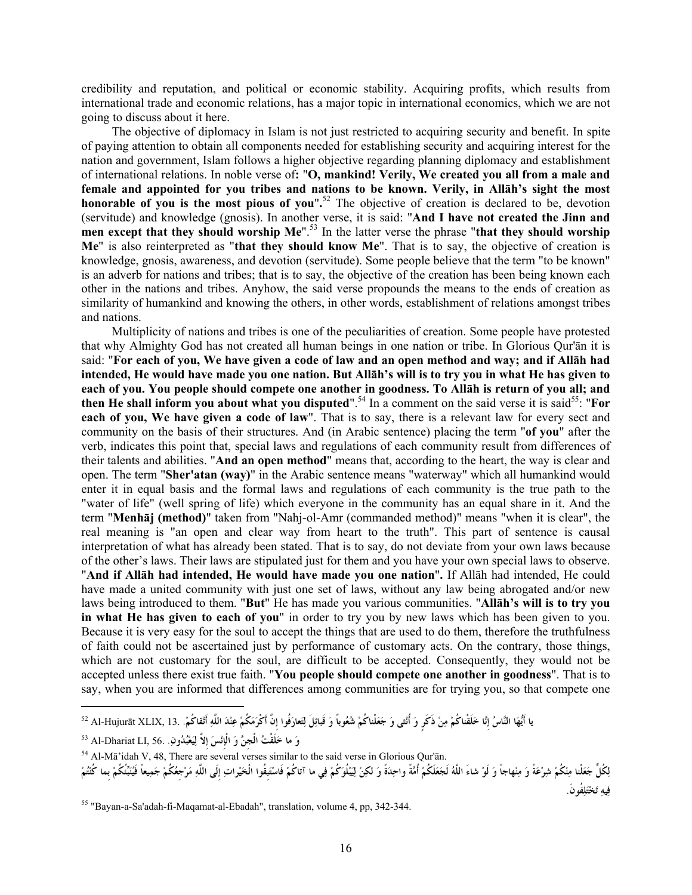credibility and reputation, and political or economic stability. Acquiring profits, which results from international trade and economic relations, has a major topic in international economics, which we are not going to discuss about it here.

The objective of diplomacy in Islam is not just restricted to acquiring security and benefit. In spite of paying attention to obtain all components needed for establishing security and acquiring interest for the nation and government, Islam follows a higher objective regarding planning diplomacy and establishment of international relations. In noble verse of**:** "**O, mankind! Verily, We created you all from a male and female and appointed for you tribes and nations to be known. Verily, in Allāh's sight the most honorable of you is the most pious of you**"**.** <sup>52</sup> The objective of creation is declared to be, devotion (servitude) and knowledge (gnosis). In another verse, it is said: "**And I have not created the Jinn and men except that they should worship Me**".<sup>53</sup> In the latter verse the phrase "**that they should worship Me**" is also reinterpreted as "**that they should know Me**". That is to say, the objective of creation is knowledge, gnosis, awareness, and devotion (servitude). Some people believe that the term "to be known" is an adverb for nations and tribes; that is to say, the objective of the creation has been being known each other in the nations and tribes. Anyhow, the said verse propounds the means to the ends of creation as similarity of humankind and knowing the others, in other words, establishment of relations amongst tribes and nations.

Multiplicity of nations and tribes is one of the peculiarities of creation. Some people have protested that why Almighty God has not created all human beings in one nation or tribe. In Glorious Qur'ān it is said: "**For each of you, We have given a code of law and an open method and way; and if Allāh had intended, He would have made you one nation. But Allāh's will is to try you in what He has given to each of you. You people should compete one another in goodness. To Allāh is return of you all; and then He shall inform you about what you disputed**".54 In a comment on the said verse it is said55: "**For each of you, We have given a code of law".** That is to say, there is a relevant law for every sect and community on the basis of their structures. And (in Arabic sentence) placing the term "**of you**" after the verb, indicates this point that, special laws and regulations of each community result from differences of their talents and abilities. "**And an open method**" means that, according to the heart, the way is clear and open. The term "**Sher'atan (way)**" in the Arabic sentence means "waterway" which all humankind would enter it in equal basis and the formal laws and regulations of each community is the true path to the "water of life" (well spring of life) which everyone in the community has an equal share in it. And the term "**Menhāj (method)**" taken from "Nahj-ol-Amr (commanded method)" means "when it is clear", the real meaning is "an open and clear way from heart to the truth". This part of sentence is causal interpretation of what has already been stated. That is to say, do not deviate from your own laws because of the other's laws. Their laws are stipulated just for them and you have your own special laws to observe. "**And if Allāh had intended, He would have made you one nation**"**.** If Allāh had intended, He could have made a united community with just one set of laws, without any law being abrogated and/or new laws being introduced to them. "**But**" He has made you various communities. "**Allāh's will is to try you in what He has given to each of you**" in order to try you by new laws which has been given to you. Because it is very easy for the soul to accept the things that are used to do them, therefore the truthfulness of faith could not be ascertained just by performance of customary acts. On the contrary, those things, which are not customary for the soul, are difficult to be accepted. Consequently, they would not be accepted unless there exist true faith. "**You people should compete one another in goodness**". That is to say, when you are informed that differences among communities are for trying you, so that compete one

 $\overline{a}$ 

54 Al-Mā'idah V, 48, There are several verses similar to the said verse in Glorious Qur'ān.

لِكُلٌّ جَعَلْنا مِنْكُمْ شِرْعَةً وَ مِنْهاجاً وَ لَوْ شاءَ اللَّهُ لَجَعَلَكُمْ أُمَّةً واحِدَةً وَ لكِنْ لِيَنْلُوَكُمْ فِي ما آتاكُمْ فَاسْتَبقُوا الْخَيْراتِ إِلَى اللَّهِ مَرْجَعُكُمْ جَمِيعاً فَيُنَبِّئُكُمْ بما كُن فِيهِ تَخْتَلِفُون<sub>َ.</sub>

يا أَيُّهَا النَّاسُ إنَّا خَلَقْناكُمْ مِنْ ذَكَر وَ أَنْثِى وَ جَعَلْناكُمْ شُعُوباً وَ قَبائِلَ لِتَعارَفُوا إنَّ أَكْرَمَكُمْ عِنْدَ اللَّهِ أَثْقاكُمْ. [13. Al-Hujurāt XLIX, 13-

<sup>53</sup> Al-Dhariat LI, 56. **. ِونُدُبْعَيِل إِلاَّ َسْالْإِن َو الْجِنَّ ُلَقْتَخ ما َو**

<sup>55&</sup>quot; Bayan-a-Sa'adah-fi-Maqamat-al-Ebadah", translation, volume 4, pp, 342-344.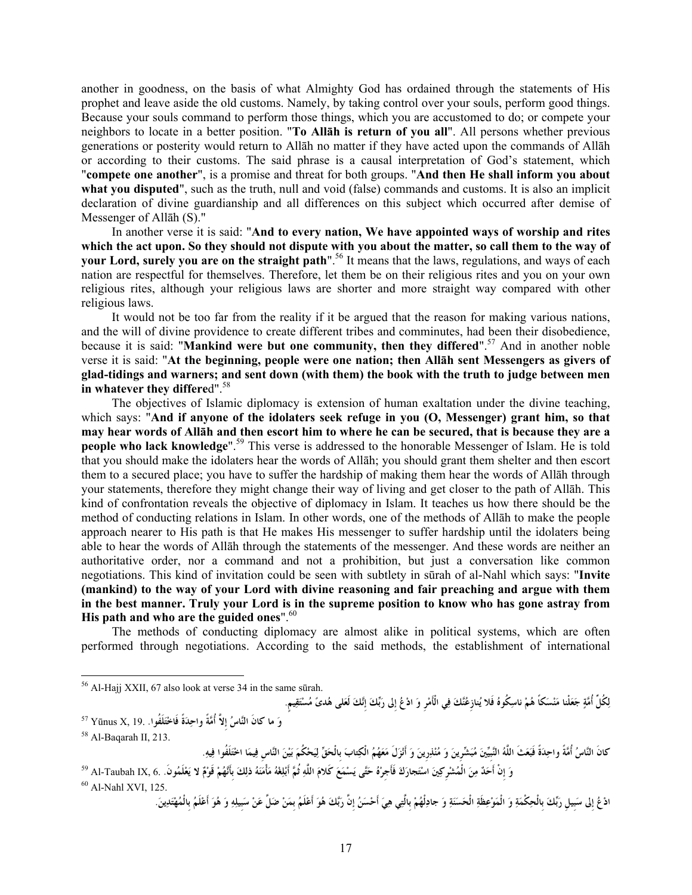another in goodness, on the basis of what Almighty God has ordained through the statements of His prophet and leave aside the old customs. Namely, by taking control over your souls, perform good things. Because your souls command to perform those things, which you are accustomed to do; or compete your neighbors to locate in a better position. "**To Allāh is return of you all**". All persons whether previous generations or posterity would return to Allāh no matter if they have acted upon the commands of Allāh or according to their customs. The said phrase is a causal interpretation of God's statement, which "**compete one another**", is a promise and threat for both groups. "**And then He shall inform you about what you disputed**", such as the truth, null and void (false) commands and customs. It is also an implicit declaration of divine guardianship and all differences on this subject which occurred after demise of Messenger of Allāh (S)."

In another verse it is said: "**And to every nation, We have appointed ways of worship and rites which the act upon. So they should not dispute with you about the matter, so call them to the way of your Lord, surely you are on the straight path**<sup>".56</sup> It means that the laws, regulations, and ways of each nation are respectful for themselves. Therefore, let them be on their religious rites and you on your own religious rites, although your religious laws are shorter and more straight way compared with other religious laws.

It would not be too far from the reality if it be argued that the reason for making various nations, and the will of divine providence to create different tribes and comminutes, had been their disobedience, because it is said: "**Mankind were but one community, then they differed**".57 And in another noble verse it is said: "**At the beginning, people were one nation; then Allāh sent Messengers as givers of glad-tidings and warners; and sent down (with them) the book with the truth to judge between men**  in whatever they differed".<sup>58</sup>

The objectives of Islamic diplomacy is extension of human exaltation under the divine teaching, which says: "**And if anyone of the idolaters seek refuge in you (O, Messenger) grant him, so that may hear words of Allāh and then escort him to where he can be secured, that is because they are a people who lack knowledge**".<sup>59</sup> This verse is addressed to the honorable Messenger of Islam. He is told that you should make the idolaters hear the words of Allāh; you should grant them shelter and then escort them to a secured place; you have to suffer the hardship of making them hear the words of Allāh through your statements, therefore they might change their way of living and get closer to the path of Allāh. This kind of confrontation reveals the objective of diplomacy in Islam. It teaches us how there should be the method of conducting relations in Islam. In other words, one of the methods of Allāh to make the people approach nearer to His path is that He makes His messenger to suffer hardship until the idolaters being able to hear the words of Allāh through the statements of the messenger. And these words are neither an authoritative order, nor a command and not a prohibition, but just a conversation like common negotiations. This kind of invitation could be seen with subtlety in sūrah of al-Nahl which says: "**Invite (mankind) to the way of your Lord with divine reasoning and fair preaching and argue with them in the best manner. Truly your Lord is in the supreme position to know who has gone astray from His path and who are the guided ones**".60

The methods of conducting diplomacy are almost alike in political systems, which are often performed through negotiations. According to the said methods, the establishment of international

لِكُلِّ أُمَّةٍ جَعَلْنا مَنْسَكَا هُمْ ناسِكُوهُ فَلا يُنازِعُنَّكَ فِي الْأَمْرِ وَ ادْعُ إِلى رَبّكَ إِنّكَ لَعَلى هُدىً مُسْتَقِيمٍ.

 $<sup>56</sup>$  Al-Hajj XXII, 67 also look at verse 34 in the same sūrah.</sup>

 <sup>213. ,</sup>II Baqarah-Al 58 **وَ ما كانَ النَّاسُ إِلاَّ أُمَّةً واحِدَةً فَاخْتَلَفُوا .** 19. ,X Yūnus 57

كانَ النَّاسُ أُمَّةً واحِدَةً فَبَعَثَ اللَّهُ النَّبيِّينَ مُبَشِّرِينَ وَ مُنْذِرِينَ وَ أَنْزَلَ مَعَهُمُ الْكِتابَ بِالْحَقِّ لِيَحْكُمَ بَيْنَ النَّاسِ فِيمَا اخْتَلَفُوا فِيهِ.

وَ إِنْ أَحَدٌ مِنَ الْمُشْرِكِينَ اسْتَجارَكَ فَأَجِرْهُ حَتَّى يَسْمَعَ كَلامَ اللَّهِ ثُمَّ أَبْلِغْهُ مَأْمَنَهُ ذلِكَ بِأَنَّهُمْ قَوْمٌ لا يَعْلَمُونَ. .6 Al-Taubah IX, 6<br>6º Al-Nahl XVI, 125.

ر<br>ادْعُ إلى سَبيلِ رَبِّكَ بِالْحِكْمَةِ وَ الْمَوْعِظَةِ الْحَسَنَةِ وَ جادِلْهُمْ بِالَّتِي هِيَ أَحْسَنُ إنَّ رَبَّكَ هُوَ أَعْلَمُ بمَنْ ضَلَّ عَنْ سَبيلِهِ وَ هُوَ أَعْلَمُ بِالْمُهْتَدِينَ.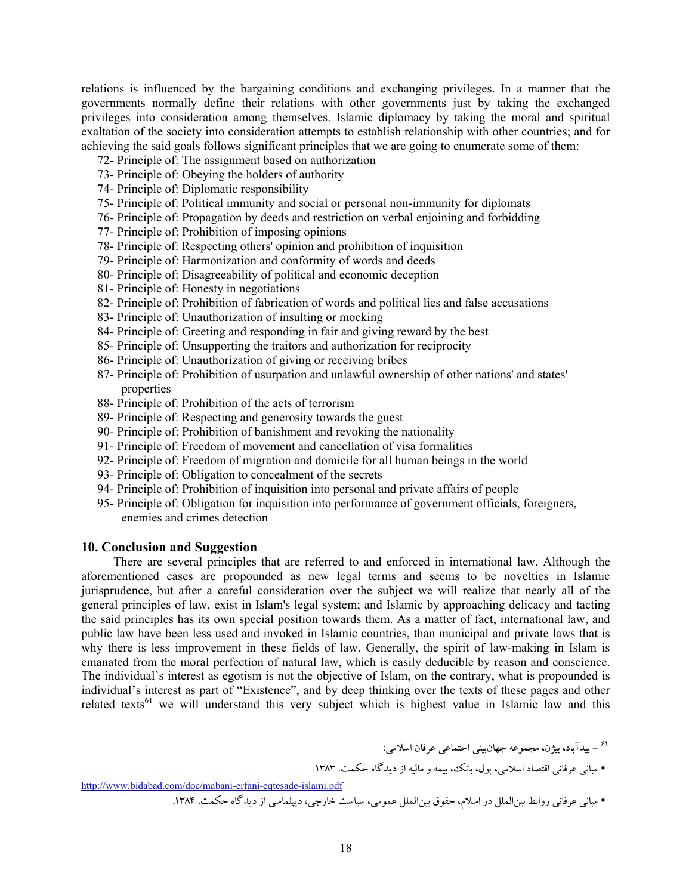relations is influenced by the bargaining conditions and exchanging privileges. In a manner that the governments normally define their relations with other governments just by taking the exchanged privileges into consideration among themselves. Islamic diplomacy by taking the moral and spiritual exaltation of the society into consideration attempts to establish relationship with other countries; and for achieving the said goals follows significant principles that we are going to enumerate some of them:

- 72- Principle of: The assignment based on authorization
- 73- Principle of: Obeying the holders of authority
- 74- Principle of: Diplomatic responsibility
- 75- Principle of: Political immunity and social or personal non-immunity for diplomats
- 76- Principle of: Propagation by deeds and restriction on verbal enjoining and forbidding
- 77- Principle of: Prohibition of imposing opinions
- 78- Principle of: Respecting others' opinion and prohibition of inquisition
- 79- Principle of: Harmonization and conformity of words and deeds
- 80- Principle of: Disagreeability of political and economic deception
- 81- Principle of: Honesty in negotiations
- 82- Principle of: Prohibition of fabrication of words and political lies and false accusations
- 83- Principle of: Unauthorization of insulting or mocking
- 84- Principle of: Greeting and responding in fair and giving reward by the best
- 85- Principle of: Unsupporting the traitors and authorization for reciprocity
- 86- Principle of: Unauthorization of giving or receiving bribes
- 87- Principle of: Prohibition of usurpation and unlawful ownership of other nations' and states' properties
- 88- Principle of: Prohibition of the acts of terrorism
- 89- Principle of: Respecting and generosity towards the guest
- 90- Principle of: Prohibition of banishment and revoking the nationality
- 91- Principle of: Freedom of movement and cancellation of visa formalities
- 92- Principle of: Freedom of migration and domicile for all human beings in the world
- 93- Principle of: Obligation to concealment of the secrets
- 94- Principle of: Prohibition of inquisition into personal and private affairs of people
- 95- Principle of: Obligation for inquisition into performance of government officials, foreigners, enemies and crimes detection

# **10. Conclusion and Suggestion**

There are several principles that are referred to and enforced in international law. Although the aforementioned cases are propounded as new legal terms and seems to be novelties in Islamic jurisprudence, but after a careful consideration over the subject we will realize that nearly all of the general principles of law, exist in Islam's legal system; and Islamic by approaching delicacy and tacting the said principles has its own special position towards them. As a matter of fact, international law, and public law have been less used and invoked in Islamic countries, than municipal and private laws that is why there is less improvement in these fields of law. Generally, the spirit of law-making in Islam is emanated from the moral perfection of natural law, which is easily deducible by reason and conscience. The individual's interest as egotism is not the objective of Islam, on the contrary, what is propounded is individual's interest as part of "Existence", and by deep thinking over the texts of these pages and other related texts<sup>61</sup> we will understand this very subject which is highest value in Islamic law and this

مباني عرفاني اقتصاد اسلامي، پول، بانك، بيمه و ماليه از ديدگاه حكمت. .1383

**<sup>-</sup>** بيدآباد، بيژن، مجموعه جهانبيني اجتماعي عرفان اسلامي: **<sup>61</sup>**

http://www.bidabad.com/doc/mabani-erfani-eqtesade-islami.pdf مباني عرفاني روابط بينالملل در اسلام، حقوق بينالملل عمومي، سياست خارجي، ديپلماسي از ديدگاه حكمت. .1384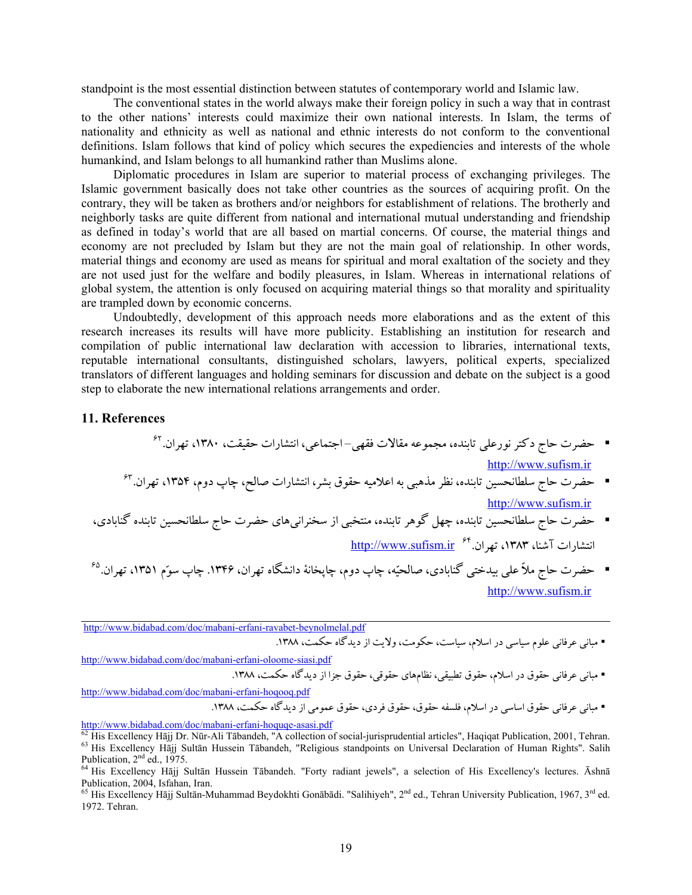standpoint is the most essential distinction between statutes of contemporary world and Islamic law.

The conventional states in the world always make their foreign policy in such a way that in contrast to the other nations' interests could maximize their own national interests. In Islam, the terms of nationality and ethnicity as well as national and ethnic interests do not conform to the conventional definitions. Islam follows that kind of policy which secures the expediencies and interests of the whole humankind, and Islam belongs to all humankind rather than Muslims alone.

Diplomatic procedures in Islam are superior to material process of exchanging privileges. The Islamic government basically does not take other countries as the sources of acquiring profit. On the contrary, they will be taken as brothers and/or neighbors for establishment of relations. The brotherly and neighborly tasks are quite different from national and international mutual understanding and friendship as defined in today's world that are all based on martial concerns. Of course, the material things and economy are not precluded by Islam but they are not the main goal of relationship. In other words, material things and economy are used as means for spiritual and moral exaltation of the society and they are not used just for the welfare and bodily pleasures, in Islam. Whereas in international relations of global system, the attention is only focused on acquiring material things so that morality and spirituality are trampled down by economic concerns.

Undoubtedly, development of this approach needs more elaborations and as the extent of this research increases its results will have more publicity. Establishing an institution for research and compilation of public international law declaration with accession to libraries, international texts, reputable international consultants, distinguished scholars, lawyers, political experts, specialized translators of different languages and holding seminars for discussion and debate on the subject is a good step to elaborate the new international relations arrangements and order.

# **11. References**

62 حضرت حاج دكترنورعلي تابنده، مجموعه مقالات فقهي– اجتماعي، انتشارات حقيقت، ،1380 تهران.

http://www.sufism.ir

- 63 حضرت حاج سلطانحسين تابنده، نظرمذهبي به اعلاميه حقوق بشر، انتشارات صالح، چاپ دوم، ،1354 تهران. http://www.sufism.ir
- حضرت حاج سلطانحسين تابنده، چهل گوهرتابنده، منتخبي از سخنرانيهاي حضرت حاج سلطانحسين تابنده گنابادي، .تهران ،1383 ،آشنا انتشارات <sup>64</sup> http://www.sufism.ir
- حضرت حاج ملاّ علی بیدختی گنابادی، صالحیّه، چاپ دوم، چاپخانهٔ دانشگاه تهران، ۱۳۴۶. چاپ سوّم ۱۳۵۱، تهران.<sup>۶۵</sup> http://www.sufism.ir

 http://www.bidabad.com/doc/mabani-erfani-ravabet-beynolmelal.pdf مباني عرفاني علوم سياسي در اسلام، سياست، حكومت، ولايت از ديدگاه حكمت، .1388 http://www.bidabad.com/doc/mabani-erfani-oloome-siasi.pdf مباني عرفاني حقوق در اسلام، حقوق تطبيقي، نظامهاي حقوقي، حقوق جزا از ديدگاه حكمت، .1388 http://www.bidabad.com/doc/mabani-erfani-hoqooq.pdf مباني عرفاني حقوق اساسي در اسلام، فلسفه حقوق، حقوق فردي، حقوق عمومي از ديدگاه حكمت، .1388

http://www.bidabad.com/doc/mabani-erfani-hoquqe-asasi.pdf<br>
<sup>62</sup> His Excellency Hājj Dr. Nūr-Ali Tābandeh, "A collection of social-jurisprudential articles", Haqiqat Publication, 2001, Tehran. <sup>63</sup> His Excellency Hājj Sultān Hussein Tābandeh, "Religious standpoints on Universal Declaration of Human Rights". Salih Publication, 2<sup>nd</sup> ed., 1975.<br><sup>64</sup> His Excellency Hājj Sultān Hussein Tābandeh. "Forty radiant jewel

Publication, 2004, Isfahan, Iran.

<sup>65</sup> His Excellency Hājj Sultān-Muhammad Beydokhti Gonābādi. "Salihiyeh", 2nd ed., Tehran University Publication, 1967, 3rd ed. 1972. Tehran.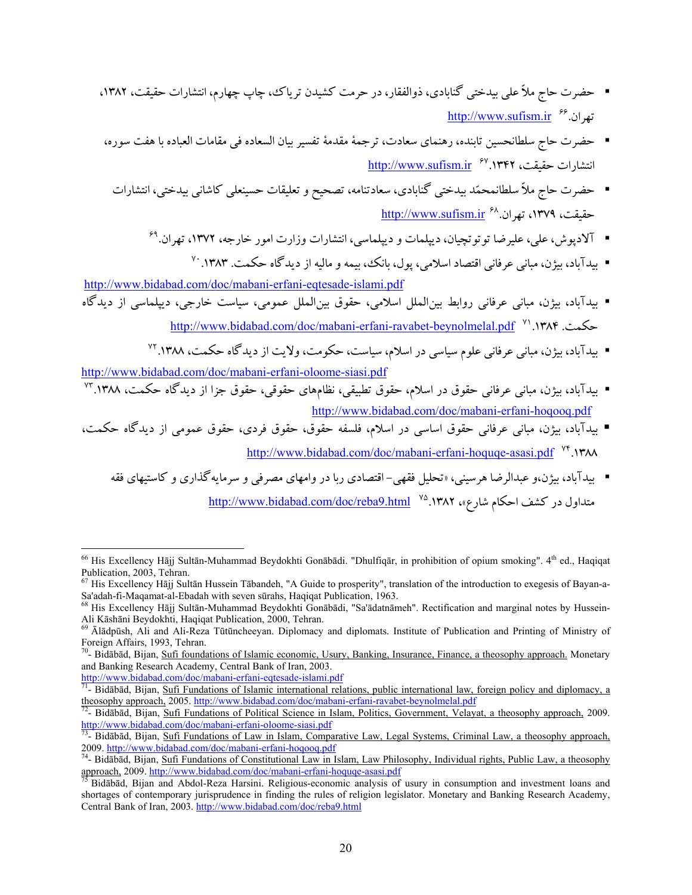- حضرت حاج ملاّ علي بيدختي گنابادي، ذوالفقار، در حرمت كشيدن ترياك، چاپ چهارم، انتشارات حقيقت، ،1382 .تهران <sup>66</sup> http://www.sufism.ir
- حضرت حاج سلطانحسين تابنده، رهنماي سعادت، ترجمة مقدمة تفسيربيان السعاده في مقامات العباده با هفت سوره،  $http://www.sufism.ir<sup>-8Y</sup>$ .1۳۴۲ - انتشارات حقیقت،
	- حضرت حاج ملاّ سلطانمحمد بيدختي گنابادي، سعادتنامه، تصحيح و تعليقات حسينعلي كاشاني بيدختي، انتشارات  $\frac{\text{http://www.sufism.ir}}{2}$  حقيقت، ١٣٧٩، تهران  $\frac{50}{2}$ 
		- 69 آلادپوش،علي، عليرضا توتوتچيان، ديپلمات وديپلماسي، انتشارات وزارت امور خارجه، ،1372 تهران.
- 70 بيدآباد، بيژن، مباني عرفاني اقتصاد اسلامي، پول، بانك، بيمه وماليه از ديدگاه حكمت. .1383 http://www.bidabad.com/doc/mabani-erfani-eqtesade-islami.pdf
- بيدآباد، بيژن، مباني عرفاني روابط بينالملل اسلامي، حقوق بينالملل عمومي، سياست خارجي، ديپلماسي از ديدگاه .1384 .حكمت <sup>71</sup> http://www.bidabad.com/doc/mabani-erfani-ravabet-beynolmelal.pdf

■ بيدآباد، بيژن، مباني عرفاني علوم سياسي در اسلام، سياست، حكومت، ولايت از ديدگاه حكمت، ١٣٨٨.<sup>٢٢</sup> http://www.bidabad.com/doc/mabani-erfani-oloome-siasi.pdf

- بيدآباد، بيژن، مباني عرفاني حقوق در اسلام، حقوق تطبيقي، نظامهاى حقوقي، حقوق جزا از ديدگاه حكمت، ١٣٨٨.<sup>7٢</sup> http://www.bidabad.com/doc/mabani-erfani-hoqooq.pdf
- بيدآباد، بيژن، مباني عرفاني حقوق اساسي در اسلام، فلسفه حقوق، حقوق فردي، حقوق عمومي از ديدگاه حكمت، http://www.bidabad.com/doc/mabani-erfani-hoquqe-asasi.pdf<sup>yt</sup>.
	- بيدآباد، بيژن،وعبدالرضا هرسيني، «تحليل فقهي- اقتصادي ربا در وامهاي مصرفي و سرمايهگذاري و كاستيهاي فقه متداول در كشف احكام شارع»، ۱۳۸۲.<sup>۷۵</sup> <u>http://www.bidabad.com/doc/reba9.html</u>

<sup>&</sup>lt;sup>66</sup> His Excellency Hājj Sultān-Muhammad Beydokhti Gonābādi. "Dhulfiqār, in prohibition of opium smoking". 4<sup>th</sup> ed., Haqiqat Publication, 2003, Tehran.

 $67$  His Excellency Hājj Sultān Hussein Tābandeh, "A Guide to prosperity", translation of the introduction to exegesis of Bayan-a-Sa'adah-fi-Maqamat-al-Ebadah with seven sūrahs, Haqiqat Publication, 1963.

<sup>&</sup>lt;sup>68</sup> His Excellency Hājj Sultān-Muhammad Beydokhti Gonābādi, "Sa'ādatnāmeh". Rectification and marginal notes by Hussein-Ali Kāshāni Beydokhti, Haqiqat Publication, 2000, Tehran.<br><sup>69</sup> Ālādpūsh, Ali and Ali-Reza Tūtūncheeyan. Diplomacy and diplomats. Institute of Publication and Printing of Ministry of

Foreign Affairs, 1993, Tehran.

<sup>&</sup>lt;sup>70</sup>- Bidābād, Bijan, Sufi foundations of Islamic economic, Usury, Banking, Insurance, Finance, a theosophy approach. Monetary and Banking Research Academy, Central Bank of Iran, 2003.

http://www.bidabad.com/doc/mabani-erfani-eqtesade-islami.pdf<br><sup>71</sup>- Bidābād, Bijan, <u>Sufi Fundations of Islamic international relations, public international law, foreign policy and diplomacy, a</u> theosophy approach, 2005. http://www.bidabad.com/doc/mabani-erfani-ravabet-beynolmelal.pdf<br><sup>72</sup>- Bidābād, Bijan, <u>Sufi Fundations of Political Science in Islam, Politics, Government, Velayat, a theosophy approach, 2009.</u>

http://www.bidabad.com/doc/mabani-erfani-oloome-siasi.pdf<br>
<sup>73</sup>- Bidābād, Bijan, <u>Sufi Fundations of Law in Islam, Comparative Law, Legal Systems, Criminal Law, a theosophy approach,</u>

<sup>2009.</sup> http://www.bidabad.com/doc/mabani-erfani-hoqooq.pdf<br>
<sup>74</sup>- Bidābād, Bijan, <u>Sufi Fundations of Constitutional Law in Islam, Law Philosophy, Individual rights, Public Law, a theosophy<br>
approach, 2009. http://www.bidab</u>

Bidābād, Bijan and Abdol-Reza Harsini. Religious-economic analysis of usury in consumption and investment loans and shortages of contemporary jurisprudence in finding the rules of religion legislator. Monetary and Banking Research Academy, Central Bank of Iran, 2003. http://www.bidabad.com/doc/reba9.html